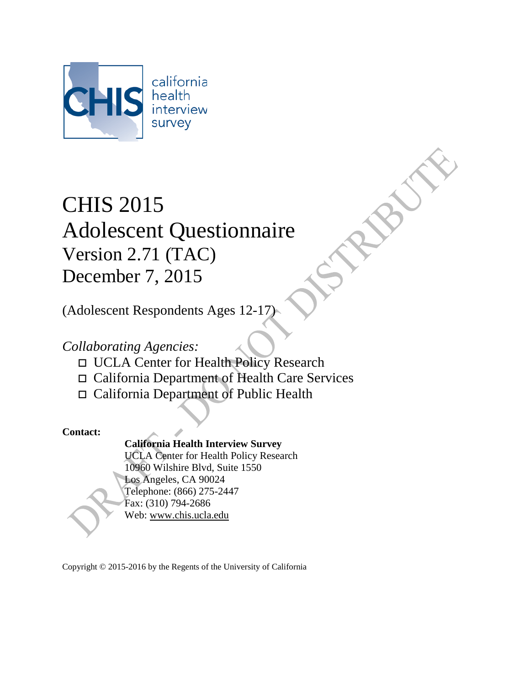

# CHIS 2015 Adolescent Questionnaire Version 2.71 (TAC) December 7, 2015

(Adolescent Respondents Ages 12-17)

# *Collaborating Agencies:*

- UCLA Center for Health Policy Research
- California Department of Health Care Services
- California Department of Public Health

### **Contact:**

# **California Health Interview Survey**

UCLA Center for Health Policy Research 10960 Wilshire Blvd, Suite 1550 Los Angeles, CA 90024 Telephone: (866) 275-2447 Fax: (310) 794-2686 Web: [www.chis.ucla.edu](http://www.chis.ucla.edu/)

Copyright © 2015-2016 by the Regents of the University of California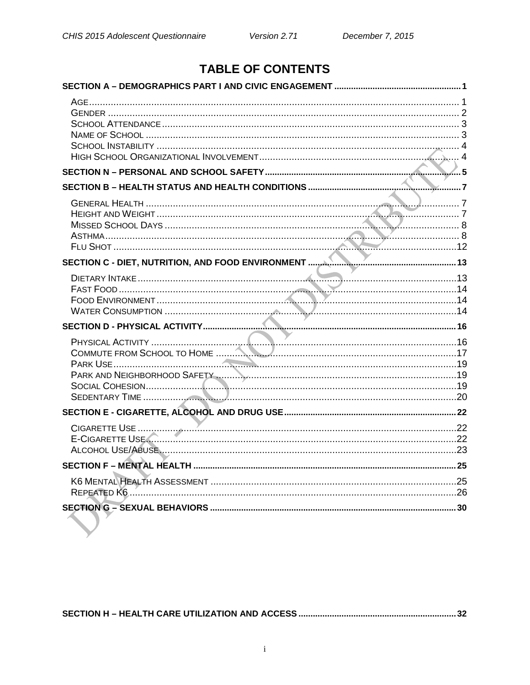# **TABLE OF CONTENTS**

| E-CIGARETTE USE <u>Communication (22</u> |
|------------------------------------------|
|                                          |
|                                          |
|                                          |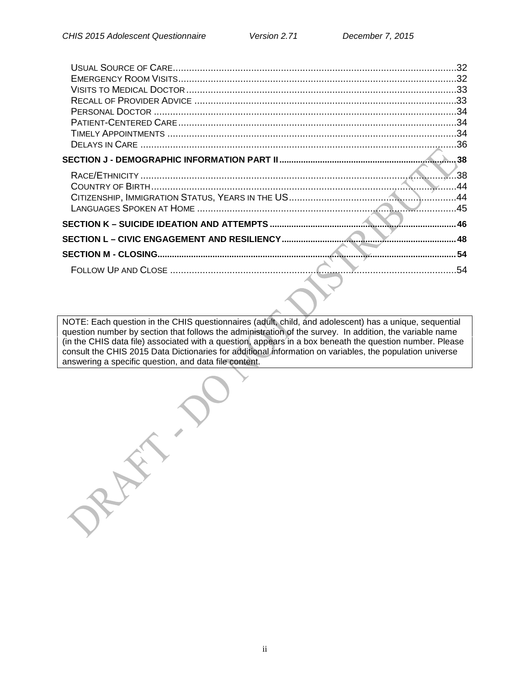RAY

| 32<br>.32 |
|-----------|
|           |
|           |
|           |
|           |
|           |
|           |
| 38        |
| .38       |
| .44       |
| 44        |
| .45       |
| 46        |
| 48        |
|           |
| .54       |
|           |

NOTE: Each question in the CHIS questionnaires (adult, child, and adolescent) has a unique, sequential question number by section that follows the administration of the survey. In addition, the variable name (in the CHIS data file) associated with a question, appears in a box beneath the question number. Please consult the CHIS 2015 Data Dictionaries for additional information on variables, the population universe answering a specific question, and data file content.

ii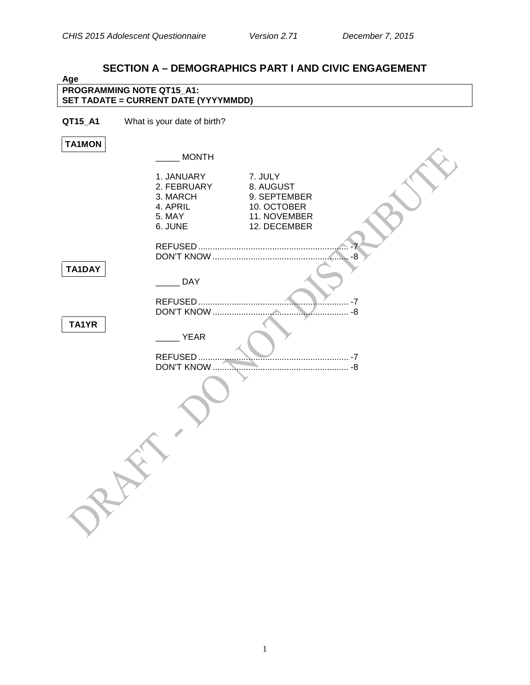<span id="page-3-1"></span><span id="page-3-0"></span>

# **SECTION A – DEMOGRAPHICS PART I AND CIVIC ENGAGEMENT**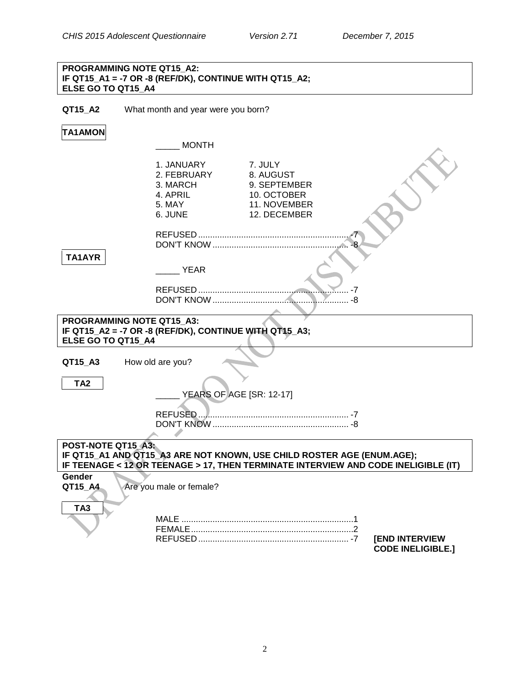#### **PROGRAMMING NOTE QT15\_A2: IF QT15\_A1 = -7 OR -8 (REF/DK), CONTINUE WITH QT15\_A2; ELSE GO TO QT15\_A4**

**QT15\_A2** What month and year were you born?

# **TA1AMON**

<span id="page-4-0"></span>

|                                                                                                                                                                                    | <b>MONTH</b>                                                           |                                                                                     |                                                   |
|------------------------------------------------------------------------------------------------------------------------------------------------------------------------------------|------------------------------------------------------------------------|-------------------------------------------------------------------------------------|---------------------------------------------------|
|                                                                                                                                                                                    | 1. JANUARY<br>2. FEBRUARY<br>3. MARCH<br>4. APRIL<br>5. MAY<br>6. JUNE | 7. JULY<br>8. AUGUST<br>9. SEPTEMBER<br>10. OCTOBER<br>11. NOVEMBER<br>12. DECEMBER |                                                   |
| TA1AYR                                                                                                                                                                             |                                                                        |                                                                                     |                                                   |
|                                                                                                                                                                                    | <b>YEAR</b>                                                            |                                                                                     |                                                   |
|                                                                                                                                                                                    |                                                                        |                                                                                     |                                                   |
| PROGRAMMING NOTE QT15_A3:<br>ELSE GO TO QT15 A4                                                                                                                                    | IF QT15_A2 = -7 OR -8 (REF/DK), CONTINUE WITH QT15_A3;                 |                                                                                     |                                                   |
| QT15 A3                                                                                                                                                                            | How old are you?                                                       |                                                                                     |                                                   |
| TA <sub>2</sub>                                                                                                                                                                    | <b>YEARS OF AGE [SR: 12-17]</b>                                        |                                                                                     |                                                   |
|                                                                                                                                                                                    |                                                                        |                                                                                     |                                                   |
| POST-NOTE QT15 A3:<br>IF QT15_A1 AND QT15_A3 ARE NOT KNOWN, USE CHILD ROSTER AGE (ENUM.AGE);<br>IF TEENAGE < 12 OR TEENAGE > 17, THEN TERMINATE INTERVIEW AND CODE INELIGIBLE (IT) |                                                                        |                                                                                     |                                                   |
| Gender<br>QT15 A4                                                                                                                                                                  | Are you male or female?                                                |                                                                                     |                                                   |
| TA <sub>3</sub>                                                                                                                                                                    |                                                                        |                                                                                     | <b>[END INTERVIEW</b><br><b>CODE INELIGIBLE.]</b> |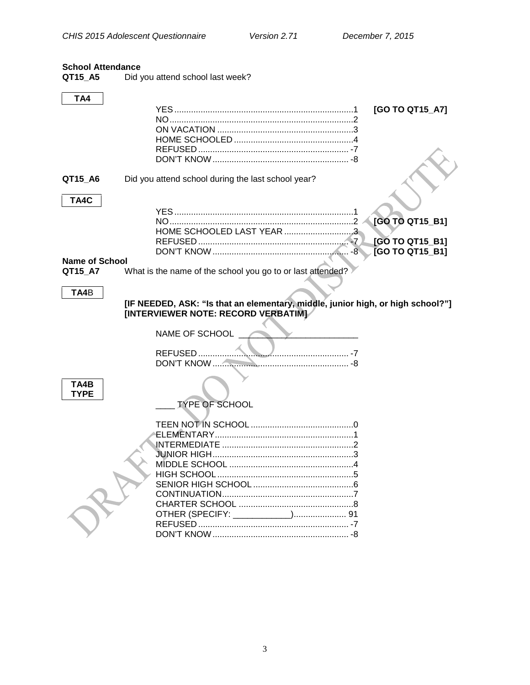#### <span id="page-5-0"></span>**School Attendance**

QT15\_A5 Did you attend school last week?

<span id="page-5-1"></span>

| TA4                   |                                                                                 |                        |
|-----------------------|---------------------------------------------------------------------------------|------------------------|
|                       |                                                                                 | [GO TO QT15_A7]        |
|                       |                                                                                 |                        |
|                       |                                                                                 |                        |
|                       |                                                                                 |                        |
|                       |                                                                                 |                        |
|                       |                                                                                 |                        |
|                       |                                                                                 |                        |
|                       |                                                                                 |                        |
| QT15_A6               | Did you attend school during the last school year?                              |                        |
|                       |                                                                                 |                        |
| TA4C                  |                                                                                 |                        |
|                       |                                                                                 |                        |
|                       |                                                                                 |                        |
|                       |                                                                                 | [GO TO QT15_B1]        |
|                       | HOME SCHOOLED LAST YEAR 3                                                       |                        |
|                       |                                                                                 | [GO TO QT15_B1]        |
|                       |                                                                                 | <b>[GO TO QT15 B1]</b> |
| <b>Name of School</b> |                                                                                 |                        |
| QT15_A7               | What is the name of the school you go to or last attended?                      |                        |
|                       |                                                                                 |                        |
|                       |                                                                                 |                        |
| TA4B                  |                                                                                 |                        |
|                       | [IF NEEDED, ASK: "Is that an elementary, middle, junior high, or high school?"] |                        |
|                       | [INTERVIEWER NOTE: RECORD VERBATIM]                                             |                        |
|                       |                                                                                 |                        |
|                       | NAME OF SCHOOL                                                                  |                        |
|                       |                                                                                 |                        |
|                       |                                                                                 |                        |
|                       |                                                                                 |                        |
|                       |                                                                                 |                        |
|                       |                                                                                 |                        |
| TA4B                  |                                                                                 |                        |
| <b>TYPE</b>           |                                                                                 |                        |
|                       | <b>TYPE OF SCHOOL</b>                                                           |                        |
|                       |                                                                                 |                        |
|                       |                                                                                 |                        |
|                       |                                                                                 |                        |
|                       |                                                                                 |                        |
|                       |                                                                                 |                        |
|                       |                                                                                 |                        |
|                       |                                                                                 |                        |
|                       |                                                                                 |                        |
|                       |                                                                                 |                        |
|                       |                                                                                 |                        |
|                       |                                                                                 |                        |
|                       |                                                                                 |                        |
|                       |                                                                                 |                        |
|                       |                                                                                 |                        |
|                       |                                                                                 |                        |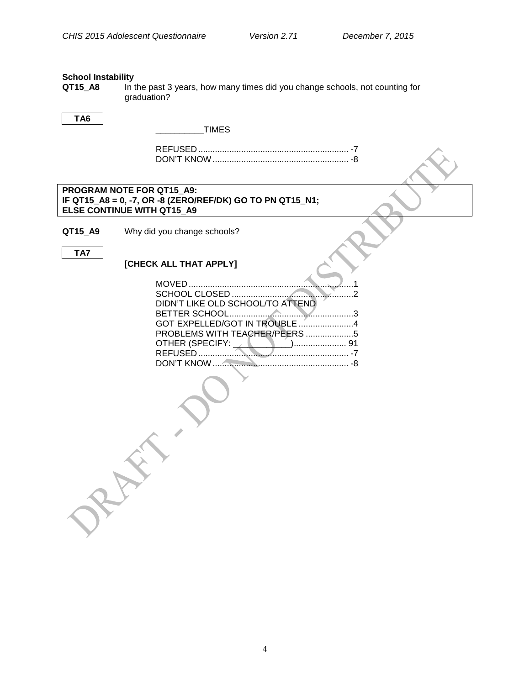# <span id="page-6-0"></span>**School Instability**<br>**QT15\_A8** In t

In the past 3 years, how many times did you change schools, not counting for graduation?

#### **TA6**

\_\_\_\_\_\_\_\_\_\_TIMES

#### **PROGRAM NOTE FOR QT15\_A9: IF QT15\_A8 = 0, -7, OR -8 (ZERO/REF/DK) GO TO PN QT15\_N1; ELSE CONTINUE WITH QT15\_A9**

**QT15\_A9** Why did you change schools?

**TA7**

#### **[CHECK ALL THAT APPLY]**

| DIDN'T LIKE OLD SCHOOL/TO ATTEND |  |
|----------------------------------|--|
|                                  |  |
| GOT EXPELLED/GOT IN TROUBLE 4    |  |
| PROBLEMS WITH TEACHER/PEERS 5    |  |
|                                  |  |
|                                  |  |
|                                  |  |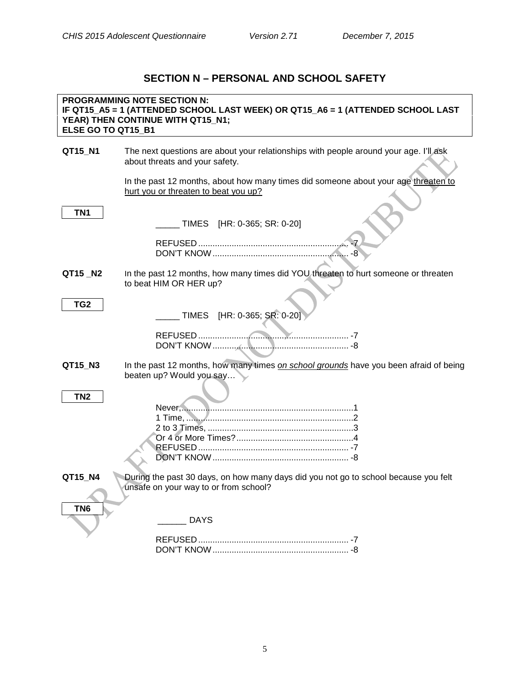# **SECTION N – PERSONAL AND SCHOOL SAFETY**

<span id="page-7-0"></span>

| ELSE GO TO QT15_B1 | <b>PROGRAMMING NOTE SECTION N:</b><br>IF QT15_A5 = 1 (ATTENDED SCHOOL LAST WEEK) OR QT15_A6 = 1 (ATTENDED SCHOOL LAST<br>YEAR) THEN CONTINUE WITH QT15_N1; |
|--------------------|------------------------------------------------------------------------------------------------------------------------------------------------------------|
| QT15_N1            | The next questions are about your relationships with people around your age. I'll ask<br>about threats and your safety.                                    |
|                    | In the past 12 months, about how many times did someone about your age threaten to<br>hurt you or threaten to beat you up?                                 |
| TN <sub>1</sub>    | TIMES [HR: 0-365; SR: 0-20]                                                                                                                                |
|                    |                                                                                                                                                            |
| QT15_N2            | In the past 12 months, how many times did YOU threaten to hurt someone or threaten<br>to beat HIM OR HER up?                                               |
| TG <sub>2</sub>    | TIMES [HR: 0-365; SR: 0-20]                                                                                                                                |
|                    |                                                                                                                                                            |
| QT15_N3            | In the past 12 months, how many times on school grounds have you been afraid of being<br>beaten up? Would you say                                          |
| TN <sub>2</sub>    |                                                                                                                                                            |
| QT15 N4            | During the past 30 days, on how many days did you not go to school because you felt<br>unsafe on your way to or from school?                               |
| TN <sub>6</sub>    | <b>DAYS</b>                                                                                                                                                |
|                    |                                                                                                                                                            |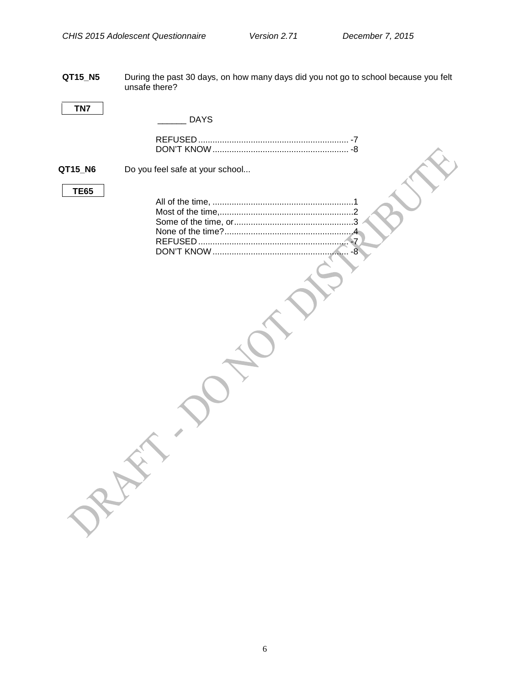**QT15\_N5** During the past 30 days, on how many days did you not go to school because you felt unsafe there?

| TN7         | <b>DAYS</b>                     |  |
|-------------|---------------------------------|--|
|             |                                 |  |
| QT15_N6     | Do you feel safe at your school |  |
| <b>TE65</b> |                                 |  |
|             |                                 |  |
|             |                                 |  |
|             |                                 |  |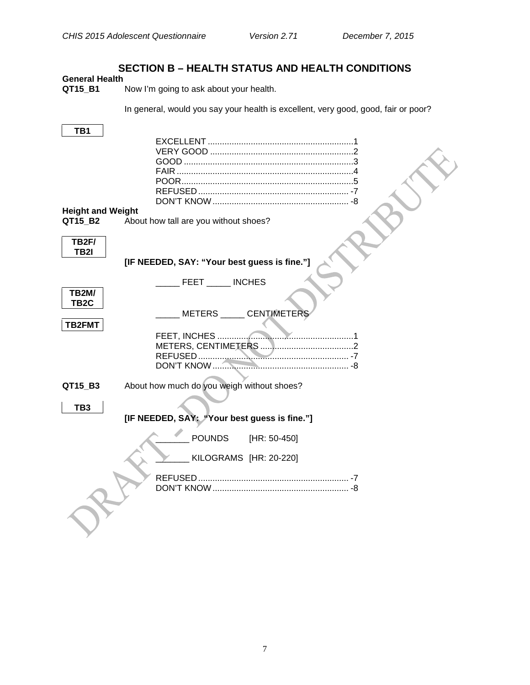# **SECTION B – HEALTH STATUS AND HEALTH CONDITIONS**

# <span id="page-9-1"></span><span id="page-9-0"></span>**General Health**

Now I'm going to ask about your health.

In general, would you say your health is excellent, very good, good, fair or poor?

<span id="page-9-2"></span>

| TB <sub>1</sub>                     |                                              |
|-------------------------------------|----------------------------------------------|
|                                     |                                              |
|                                     |                                              |
|                                     |                                              |
|                                     |                                              |
|                                     |                                              |
|                                     |                                              |
|                                     |                                              |
| <b>Height and Weight</b><br>QT15 B2 | About how tall are you without shoes?        |
|                                     |                                              |
| <b>TB2F/</b>                        |                                              |
| TB2I                                |                                              |
|                                     | [IF NEEDED, SAY: "Your best guess is fine."] |
|                                     | FEET INCHES                                  |
| <b>TB2M/</b>                        |                                              |
| TB <sub>2</sub> C                   |                                              |
|                                     | METERS _____ CENTIMETERS                     |
| TB2FMT                              |                                              |
|                                     | FEET, INCHES<br>.                            |
|                                     |                                              |
|                                     |                                              |
|                                     |                                              |
| QT15_B3                             | About how much do you weigh without shoes?   |
|                                     |                                              |
| TB3                                 |                                              |
|                                     | [IF NEEDED, SAY: "Your best guess is fine."] |
|                                     | <b>POUNDS</b><br>[HR: 50-450]                |
|                                     | KILOGRAMS [HR: 20-220]                       |
|                                     |                                              |
|                                     |                                              |
|                                     |                                              |
|                                     |                                              |
|                                     |                                              |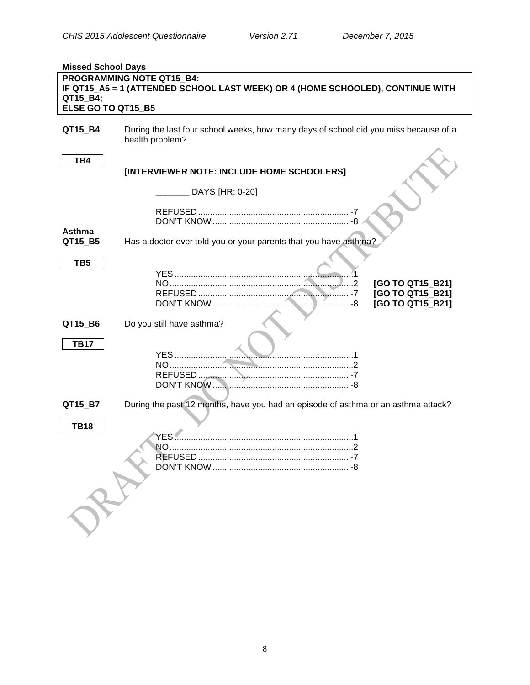<span id="page-10-1"></span><span id="page-10-0"></span>

| <b>Missed School Days</b> |                                                                                                             |  |  |
|---------------------------|-------------------------------------------------------------------------------------------------------------|--|--|
| QT15_B4;                  | PROGRAMMING NOTE QT15 B4:<br>IF QT15_A5 = 1 (ATTENDED SCHOOL LAST WEEK) OR 4 (HOME SCHOOLED), CONTINUE WITH |  |  |
| ELSE GO TO QT15_B5        |                                                                                                             |  |  |
| QT15_B4                   | During the last four school weeks, how many days of school did you miss because of a<br>health problem?     |  |  |
| TB4                       | [INTERVIEWER NOTE: INCLUDE HOME SCHOOLERS]                                                                  |  |  |
|                           | DAYS [HR: 0-20]                                                                                             |  |  |
|                           |                                                                                                             |  |  |
| <b>Asthma</b><br>QT15_B5  | Has a doctor ever told you or your parents that you have asthma?                                            |  |  |
| TB <sub>5</sub>           |                                                                                                             |  |  |
|                           | [GO TO QT15 B21]<br>[GO TO QT15 B21]<br>[GO TO QT15_B21]                                                    |  |  |
| QT15_B6                   | Do you still have asthma?                                                                                   |  |  |
| <b>TB17</b>               | <b>YES</b>                                                                                                  |  |  |
| QT15_B7                   | During the past 12 months, have you had an episode of asthma or an asthma attack?                           |  |  |
| <b>TB18</b>               | <b>YES</b><br>NΟ                                                                                            |  |  |
|                           |                                                                                                             |  |  |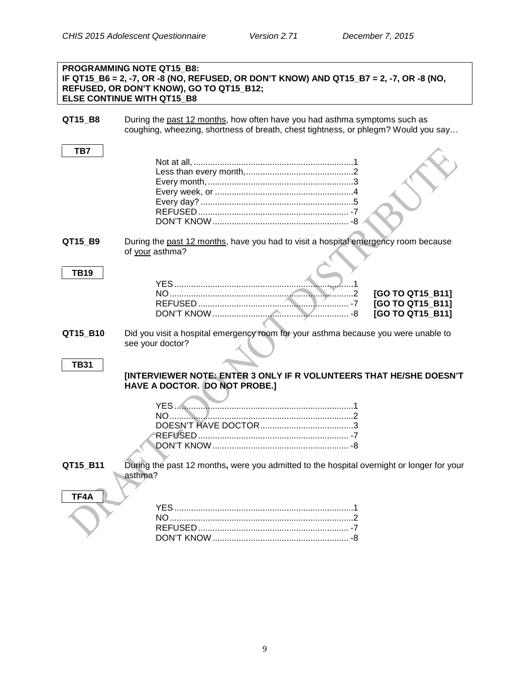|             | <b>PROGRAMMING NOTE QT15 B8:</b><br>IF QT15_B6 = 2, -7, OR -8 (NO, REFUSED, OR DON'T KNOW) AND QT15_B7 = 2, -7, OR -8 (NO,<br>REFUSED, OR DON'T KNOW), GO TO QT15 B12;<br><b>ELSE CONTINUE WITH QT15 B8</b> |
|-------------|-------------------------------------------------------------------------------------------------------------------------------------------------------------------------------------------------------------|
| QT15_B8     | During the past 12 months, how often have you had asthma symptoms such as<br>coughing, wheezing, shortness of breath, chest tightness, or phlegm? Would you say                                             |
| TB7         |                                                                                                                                                                                                             |
| QT15_B9     | During the past 12 months, have you had to visit a hospital emergency room because<br>of your asthma?                                                                                                       |
| <b>TB19</b> | [GO TO QT15 B11]<br>[GO TO QT15_B11]<br>[GO TO QT15_B11]                                                                                                                                                    |
| QT15_B10    | Did you visit a hospital emergency room for your asthma because you were unable to<br>see your doctor?                                                                                                      |
| <b>TB31</b> | [INTERVIEWER NOTE: ENTER 3 ONLY IF R VOLUNTEERS THAT HE/SHE DOESN'T<br>HAVE A DOCTOR. DO NOT PROBE.]                                                                                                        |
|             |                                                                                                                                                                                                             |
| QT15_B11    | During the past 12 months, were you admitted to the hospital overnight or longer for your<br>asthma?                                                                                                        |
| TF4A        |                                                                                                                                                                                                             |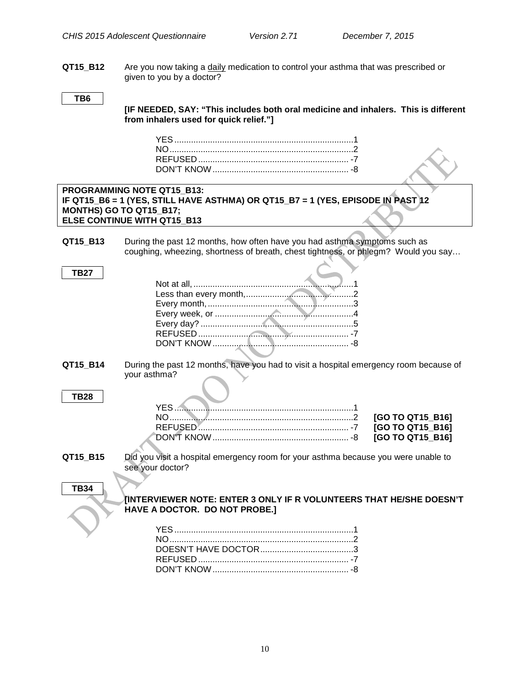**QT15\_B12** Are you now taking a daily medication to control your asthma that was prescribed or given to you by a doctor?

#### **TB6**

**[IF NEEDED, SAY: "This includes both oral medicine and inhalers. This is different from inhalers used for quick relief."]**

|             | PROGRAMMING NOTE QT15 B13:<br>IF QT15_B6 = 1 (YES, STILL HAVE ASTHMA) OR QT15_B7 = 1 (YES, EPISODE IN PAST 12<br>MONTHS) GO TO QT15_B17;<br>ELSE CONTINUE WITH QT15_B13 |
|-------------|-------------------------------------------------------------------------------------------------------------------------------------------------------------------------|
|             |                                                                                                                                                                         |
| QT15_B13    | During the past 12 months, how often have you had asthma symptoms such as<br>coughing, wheezing, shortness of breath, chest tightness, or phlegm? Would you say         |
| <b>TB27</b> |                                                                                                                                                                         |
|             |                                                                                                                                                                         |
|             |                                                                                                                                                                         |
|             |                                                                                                                                                                         |
|             |                                                                                                                                                                         |
|             |                                                                                                                                                                         |
|             |                                                                                                                                                                         |
|             |                                                                                                                                                                         |
| QT15_B14    | During the past 12 months, have you had to visit a hospital emergency room because of<br>your asthma?                                                                   |
| <b>TB28</b> |                                                                                                                                                                         |
|             | [GO TO QT15_B16]                                                                                                                                                        |
|             | [GO TO QT15_B16]                                                                                                                                                        |
|             |                                                                                                                                                                         |
|             | [GO TO QT15_B16]                                                                                                                                                        |
| QT15_B15    | Did you visit a hospital emergency room for your asthma because you were unable to                                                                                      |
|             | see your doctor?                                                                                                                                                        |
|             |                                                                                                                                                                         |
|             |                                                                                                                                                                         |
| <b>TB34</b> |                                                                                                                                                                         |
|             | [INTERVIEWER NOTE: ENTER 3 ONLY IF R VOLUNTEERS THAT HE/SHE DOESN'T                                                                                                     |
|             | HAVE A DOCTOR. DO NOT PROBE.]                                                                                                                                           |
|             |                                                                                                                                                                         |
|             |                                                                                                                                                                         |
|             |                                                                                                                                                                         |
|             |                                                                                                                                                                         |
|             |                                                                                                                                                                         |
|             |                                                                                                                                                                         |
|             |                                                                                                                                                                         |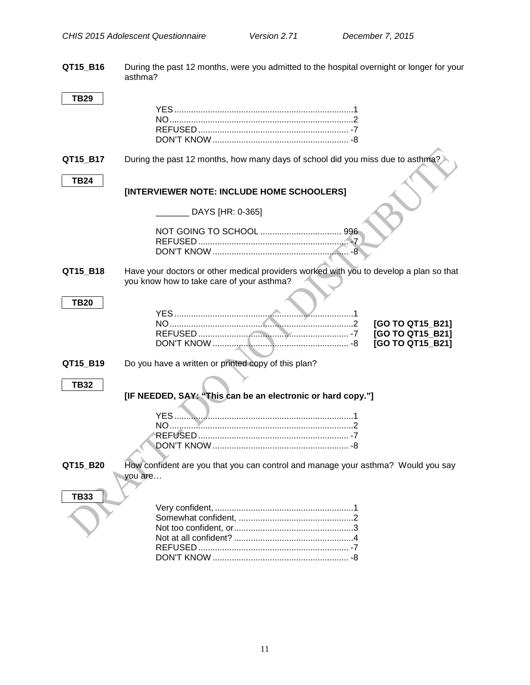**QT15\_B16** During the past 12 months, were you admitted to the hospital overnight or longer for your asthma?

| TB29        |                                                                                                                                     |
|-------------|-------------------------------------------------------------------------------------------------------------------------------------|
|             |                                                                                                                                     |
|             |                                                                                                                                     |
|             |                                                                                                                                     |
|             |                                                                                                                                     |
| QT15_B17    | During the past 12 months, how many days of school did you miss due to asthma?                                                      |
| <b>TB24</b> |                                                                                                                                     |
|             | [INTERVIEWER NOTE: INCLUDE HOME SCHOOLERS]                                                                                          |
|             | DAYS [HR: 0-365]                                                                                                                    |
|             |                                                                                                                                     |
|             |                                                                                                                                     |
|             |                                                                                                                                     |
| QT15_B18    | Have your doctors or other medical providers worked with you to develop a plan so that<br>you know how to take care of your asthma? |
|             |                                                                                                                                     |
| <b>TB20</b> |                                                                                                                                     |
|             | [GO TO QT15_B21]                                                                                                                    |
|             | [GO TO QT15_B21]                                                                                                                    |
|             | [GO TO QT15_B21]                                                                                                                    |
|             |                                                                                                                                     |
| QT15_B19    | Do you have a written or printed copy of this plan?                                                                                 |
|             |                                                                                                                                     |
| <b>TB32</b> |                                                                                                                                     |
|             | [IF NEEDED, SAY: "This can be an electronic or hard copy."]                                                                         |
|             |                                                                                                                                     |
|             |                                                                                                                                     |
|             |                                                                                                                                     |
|             |                                                                                                                                     |
|             |                                                                                                                                     |
| QT15 B20    | How confident are you that you can control and manage your asthma? Would you say                                                    |
|             | you are                                                                                                                             |
|             |                                                                                                                                     |
| <b>TB33</b> |                                                                                                                                     |
|             |                                                                                                                                     |
|             |                                                                                                                                     |
|             |                                                                                                                                     |
|             |                                                                                                                                     |
|             |                                                                                                                                     |
|             |                                                                                                                                     |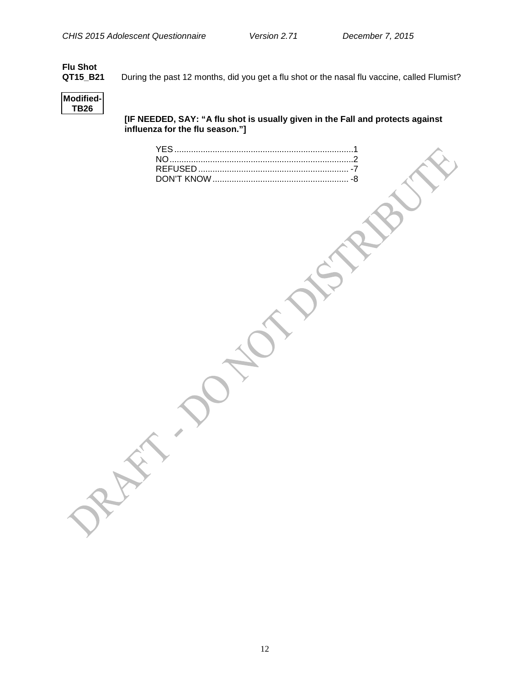# <span id="page-14-0"></span>**Flu Shot**

During the past 12 months, did you get a flu shot or the nasal flu vaccine, called Flumist?



**[IF NEEDED, SAY: "A flu shot is usually given in the Fall and protects against influenza for the flu season."]**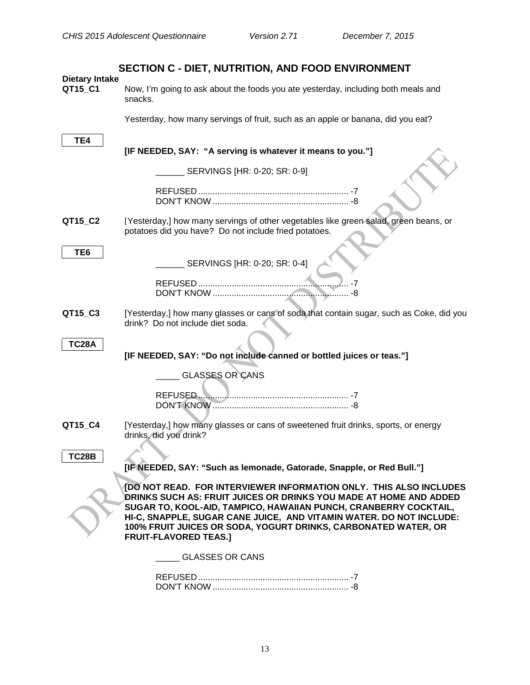<span id="page-15-1"></span><span id="page-15-0"></span>

|                                  | SECTION C - DIET, NUTRITION, AND FOOD ENVIRONMENT                                                                                                                                                                                                                                                                                                                                    |
|----------------------------------|--------------------------------------------------------------------------------------------------------------------------------------------------------------------------------------------------------------------------------------------------------------------------------------------------------------------------------------------------------------------------------------|
| <b>Dietary Intake</b><br>QT15_C1 | Now, I'm going to ask about the foods you ate yesterday, including both meals and<br>snacks.                                                                                                                                                                                                                                                                                         |
|                                  | Yesterday, how many servings of fruit, such as an apple or banana, did you eat?                                                                                                                                                                                                                                                                                                      |
| TE4                              | [IF NEEDED, SAY: "A serving is whatever it means to you."]                                                                                                                                                                                                                                                                                                                           |
|                                  | SERVINGS [HR: 0-20; SR: 0-9]                                                                                                                                                                                                                                                                                                                                                         |
|                                  |                                                                                                                                                                                                                                                                                                                                                                                      |
| QT15_C2                          | [Yesterday,] how many servings of other vegetables like green salad, green beans, or<br>potatoes did you have? Do not include fried potatoes.                                                                                                                                                                                                                                        |
| TE <sub>6</sub>                  | SERVINGS [HR: 0-20; SR: 0-4]                                                                                                                                                                                                                                                                                                                                                         |
|                                  |                                                                                                                                                                                                                                                                                                                                                                                      |
| QT15_C3                          | [Yesterday,] how many glasses or cans of soda that contain sugar, such as Coke, did you<br>drink? Do not include diet soda.                                                                                                                                                                                                                                                          |
| <b>TC28A</b>                     | [IF NEEDED, SAY: "Do not include canned or bottled juices or teas."]                                                                                                                                                                                                                                                                                                                 |
|                                  | <b>GLASSES OR CANS</b>                                                                                                                                                                                                                                                                                                                                                               |
|                                  | REFUSED                                                                                                                                                                                                                                                                                                                                                                              |
| QT15_C4                          | [Yesterday,] how many glasses or cans of sweetened fruit drinks, sports, or energy<br>drinks, did you drink?                                                                                                                                                                                                                                                                         |
| <b>TC28B</b>                     | [IF NEEDED, SAY: "Such as lemonade, Gatorade, Snapple, or Red Bull."]                                                                                                                                                                                                                                                                                                                |
|                                  | [DO NOT READ. FOR INTERVIEWER INFORMATION ONLY. THIS ALSO INCLUDES<br>DRINKS SUCH AS: FRUIT JUICES OR DRINKS YOU MADE AT HOME AND ADDED<br>SUGAR TO, KOOL-AID, TAMPICO, HAWAIIAN PUNCH, CRANBERRY COCKTAIL,<br>HI-C, SNAPPLE, SUGAR CANE JUICE, AND VITAMIN WATER. DO NOT INCLUDE:<br>100% FRUIT JUICES OR SODA, YOGURT DRINKS, CARBONATED WATER, OR<br><b>FRUIT-FLAVORED TEAS.]</b> |
|                                  | <b>GLASSES OR CANS</b>                                                                                                                                                                                                                                                                                                                                                               |
|                                  |                                                                                                                                                                                                                                                                                                                                                                                      |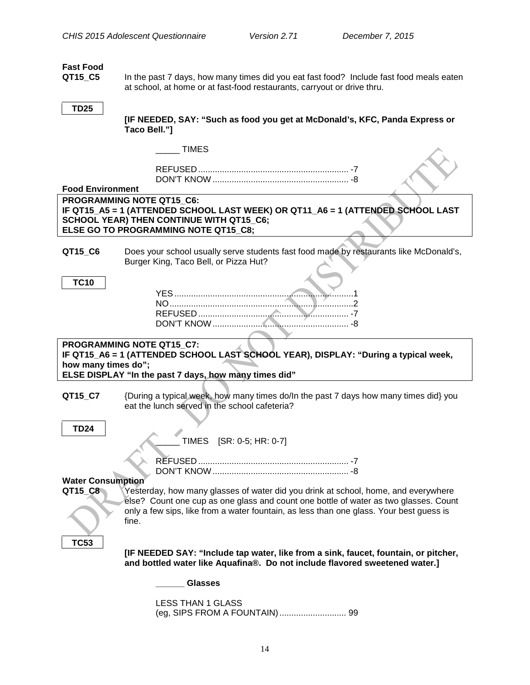<span id="page-16-2"></span><span id="page-16-1"></span><span id="page-16-0"></span>

| <b>Fast Food</b><br>QT15_C5         | In the past 7 days, how many times did you eat fast food? Include fast food meals eaten<br>at school, at home or at fast-food restaurants, carryout or drive thru.         |
|-------------------------------------|----------------------------------------------------------------------------------------------------------------------------------------------------------------------------|
| <b>TD25</b>                         | [IF NEEDED, SAY: "Such as food you get at McDonald's, KFC, Panda Express or<br>Taco Bell."]                                                                                |
|                                     | <b>TIMES</b>                                                                                                                                                               |
|                                     |                                                                                                                                                                            |
| <b>Food Environment</b>             |                                                                                                                                                                            |
|                                     | PROGRAMMING NOTE QT15 C6:                                                                                                                                                  |
|                                     | IF QT15_A5 = 1 (ATTENDED SCHOOL LAST WEEK) OR QT11_A6 = 1 (ATTENDED SCHOOL LAST<br><b>SCHOOL YEAR) THEN CONTINUE WITH QT15_C6;</b><br>ELSE GO TO PROGRAMMING NOTE QT15 C8; |
|                                     |                                                                                                                                                                            |
| QT15_C6                             | Does your school usually serve students fast food made by restaurants like McDonald's,<br>Burger King, Taco Bell, or Pizza Hut?                                            |
| <b>TC10</b>                         |                                                                                                                                                                            |
|                                     |                                                                                                                                                                            |
|                                     |                                                                                                                                                                            |
|                                     |                                                                                                                                                                            |
|                                     |                                                                                                                                                                            |
|                                     |                                                                                                                                                                            |
|                                     | <b>PROGRAMMING NOTE QT15_C7:</b><br>IF QT15_A6 = 1 (ATTENDED SCHOOL LAST SCHOOL YEAR), DISPLAY: "During a typical week,                                                    |
| how many times do";                 |                                                                                                                                                                            |
|                                     | ELSE DISPLAY "In the past 7 days, how many times did"                                                                                                                      |
| QT15_C7                             | {During a typical week, how many times do/In the past 7 days how many times did} you<br>eat the lunch served in the school cafeteria?                                      |
|                                     |                                                                                                                                                                            |
| <b>TD24</b>                         |                                                                                                                                                                            |
|                                     | TIMES [SR: 0-5; HR: 0-7]                                                                                                                                                   |
|                                     |                                                                                                                                                                            |
|                                     |                                                                                                                                                                            |
| <b>Water Consumption</b><br>QT15_C8 | Yesterday, how many glasses of water did you drink at school, home, and everywhere                                                                                         |
|                                     | else? Count one cup as one glass and count one bottle of water as two glasses. Count                                                                                       |
|                                     | only a few sips, like from a water fountain, as less than one glass. Your best guess is<br>fine.                                                                           |
| <b>TC53</b>                         |                                                                                                                                                                            |
|                                     | [IF NEEDED SAY: "Include tap water, like from a sink, faucet, fountain, or pitcher,<br>and bottled water like Aquafina®. Do not include flavored sweetened water.]         |
|                                     | <b>Glasses</b>                                                                                                                                                             |
|                                     | <b>LESS THAN 1 GLASS</b><br>(eg, SIPS FROM A FOUNTAIN)  99                                                                                                                 |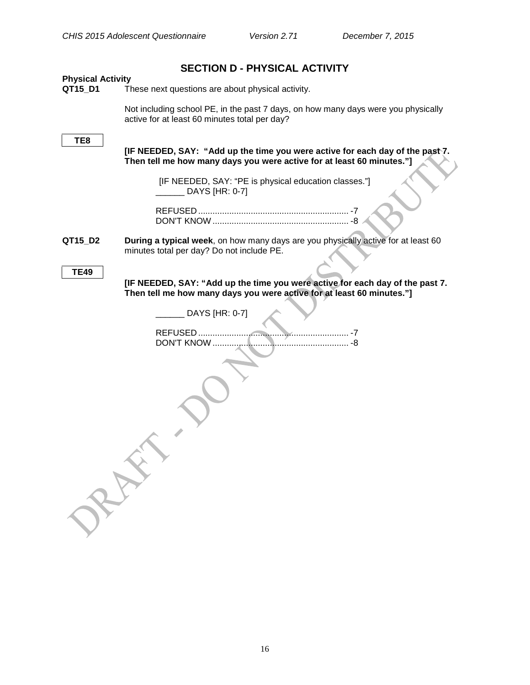<span id="page-18-1"></span><span id="page-18-0"></span>

| <b>SECTION D - PHYSICAL ACTIVITY</b> |                                                                                                                                                        |  |  |
|--------------------------------------|--------------------------------------------------------------------------------------------------------------------------------------------------------|--|--|
| <b>Physical Activity</b><br>QT15_D1  | These next questions are about physical activity.                                                                                                      |  |  |
|                                      | Not including school PE, in the past 7 days, on how many days were you physically<br>active for at least 60 minutes total per day?                     |  |  |
| TE8                                  | [IF NEEDED, SAY: "Add up the time you were active for each day of the past7.<br>Then tell me how many days you were active for at least 60 minutes."]  |  |  |
|                                      | [IF NEEDED, SAY: "PE is physical education classes."]<br>DAYS [HR: 0-7]                                                                                |  |  |
|                                      |                                                                                                                                                        |  |  |
| QT15_D2                              | During a typical week, on how many days are you physically active for at least 60<br>minutes total per day? Do not include PE.                         |  |  |
| <b>TE49</b>                          | [IF NEEDED, SAY: "Add up the time you were active for each day of the past 7.<br>Then tell me how many days you were active for at least 60 minutes."] |  |  |
|                                      | DAYS [HR: 0-7]                                                                                                                                         |  |  |
|                                      |                                                                                                                                                        |  |  |
|                                      |                                                                                                                                                        |  |  |
|                                      |                                                                                                                                                        |  |  |

16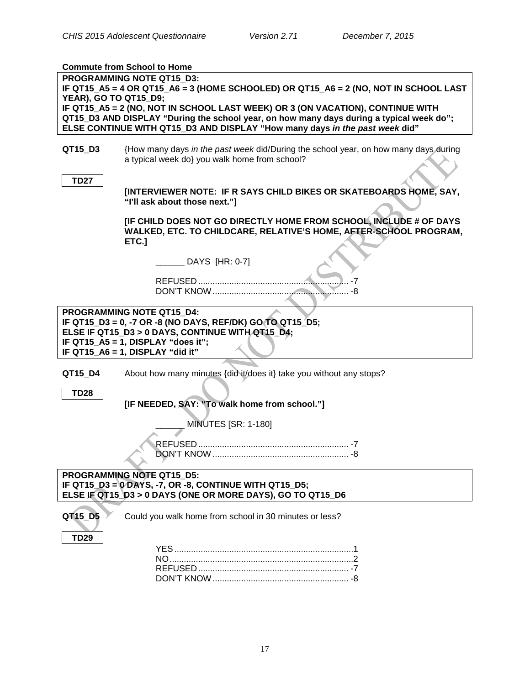# <span id="page-19-0"></span>**Commute from School to Home**

| COMMUNICATION SCHOOL TO LIGHT                                                        |                                                                                                                                         |  |  |
|--------------------------------------------------------------------------------------|-----------------------------------------------------------------------------------------------------------------------------------------|--|--|
| <b>PROGRAMMING NOTE QT15_D3:</b>                                                     |                                                                                                                                         |  |  |
| IF QT15_A5 = 4 OR QT15_A6 = 3 (HOME SCHOOLED) OR QT15_A6 = 2 (NO, NOT IN SCHOOL LAST |                                                                                                                                         |  |  |
| YEAR), GO TO QT15_D9;                                                                |                                                                                                                                         |  |  |
|                                                                                      | IF QT15_A5 = 2 (NO, NOT IN SCHOOL LAST WEEK) OR 3 (ON VACATION), CONTINUE WITH                                                          |  |  |
|                                                                                      | QT15_D3 AND DISPLAY "During the school year, on how many days during a typical week do";                                                |  |  |
|                                                                                      | ELSE CONTINUE WITH QT15_D3 AND DISPLAY "How many days in the past week did"                                                             |  |  |
|                                                                                      |                                                                                                                                         |  |  |
| QT15_D3                                                                              | {How many days in the past week did/During the school year, on how many days during                                                     |  |  |
|                                                                                      | a typical week do} you walk home from school?                                                                                           |  |  |
|                                                                                      |                                                                                                                                         |  |  |
| <b>TD27</b>                                                                          |                                                                                                                                         |  |  |
|                                                                                      | [INTERVIEWER NOTE: IF R SAYS CHILD BIKES OR SKATEBOARDS HOME, SAY,                                                                      |  |  |
|                                                                                      | "I'll ask about those next."]                                                                                                           |  |  |
|                                                                                      |                                                                                                                                         |  |  |
|                                                                                      | [IF CHILD DOES NOT GO DIRECTLY HOME FROM SCHOOL, INCLUDE # OF DAYS<br>WALKED, ETC. TO CHILDCARE, RELATIVE'S HOME, AFTER-SCHOOL PROGRAM, |  |  |
|                                                                                      | ETC.]                                                                                                                                   |  |  |
|                                                                                      |                                                                                                                                         |  |  |
|                                                                                      | DAYS [HR: 0-7]                                                                                                                          |  |  |
|                                                                                      |                                                                                                                                         |  |  |
|                                                                                      |                                                                                                                                         |  |  |
|                                                                                      | DON'T KNOW                                                                                                                              |  |  |
|                                                                                      |                                                                                                                                         |  |  |
|                                                                                      | PROGRAMMING NOTE QT15_D4:                                                                                                               |  |  |
|                                                                                      | IF QT15_D3 = 0, -7 OR -8 (NO DAYS, REF/DK) GO TO QT15_D5;                                                                               |  |  |
|                                                                                      |                                                                                                                                         |  |  |
|                                                                                      | ELSE IF QT15_D3 > 0 DAYS, CONTINUE WITH QT15_D4;                                                                                        |  |  |
|                                                                                      | IF QT15_A5 = 1, DISPLAY "does it";                                                                                                      |  |  |
|                                                                                      | IF QT15_A6 = 1, DISPLAY "did it"                                                                                                        |  |  |
|                                                                                      |                                                                                                                                         |  |  |
| QT15_D4                                                                              | About how many minutes {did it/does it} take you without any stops?                                                                     |  |  |
|                                                                                      |                                                                                                                                         |  |  |
| <b>TD28</b>                                                                          |                                                                                                                                         |  |  |
|                                                                                      | [IF NEEDED, SAY: "To walk home from school."]                                                                                           |  |  |
|                                                                                      |                                                                                                                                         |  |  |
|                                                                                      | <b>MINUTES [SR: 1-180]</b>                                                                                                              |  |  |
|                                                                                      |                                                                                                                                         |  |  |
|                                                                                      | DON'T KNOW<br>-8                                                                                                                        |  |  |
|                                                                                      |                                                                                                                                         |  |  |
|                                                                                      |                                                                                                                                         |  |  |
|                                                                                      | PROGRAMMING NOTE QT15 D5:                                                                                                               |  |  |
|                                                                                      | IF QT15_D3 = 0 DAYS, -7, OR -8, CONTINUE WITH QT15_D5;                                                                                  |  |  |
|                                                                                      | ELSE JF QT15 D3 > 0 DAYS (ONE OR MORE DAYS), GO TO QT15 D6                                                                              |  |  |
| QT15_D5                                                                              | Could you walk home from school in 30 minutes or less?                                                                                  |  |  |
|                                                                                      |                                                                                                                                         |  |  |
| <b>TD29</b>                                                                          |                                                                                                                                         |  |  |
|                                                                                      |                                                                                                                                         |  |  |
|                                                                                      |                                                                                                                                         |  |  |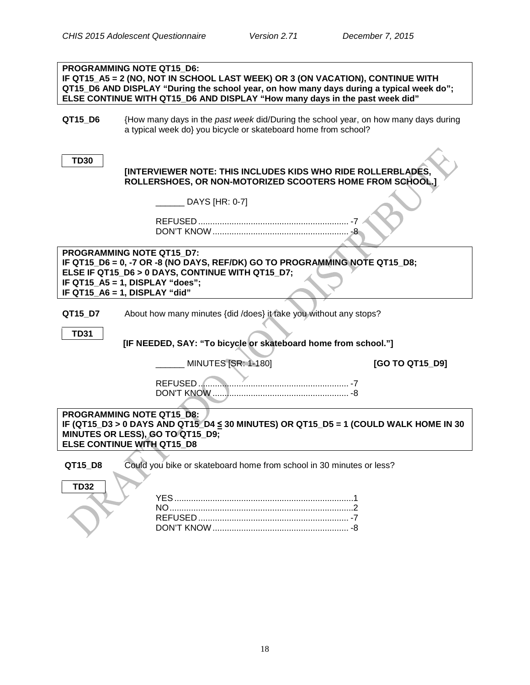|                                                                                                                                                                                                        | PROGRAMMING NOTE QT15 D6:<br>IF QT15_A5 = 2 (NO, NOT IN SCHOOL LAST WEEK) OR 3 (ON VACATION), CONTINUE WITH<br>QT15_D6 AND DISPLAY "During the school year, on how many days during a typical week do";<br>ELSE CONTINUE WITH QT15_D6 AND DISPLAY "How many days in the past week did" |  |
|--------------------------------------------------------------------------------------------------------------------------------------------------------------------------------------------------------|----------------------------------------------------------------------------------------------------------------------------------------------------------------------------------------------------------------------------------------------------------------------------------------|--|
| QT15_D6                                                                                                                                                                                                | {How many days in the past week did/During the school year, on how many days during<br>a typical week do} you bicycle or skateboard home from school?                                                                                                                                  |  |
| <b>TD30</b>                                                                                                                                                                                            | [INTERVIEWER NOTE: THIS INCLUDES KIDS WHO RIDE ROLLERBLADES,<br>ROLLERSHOES, OR NON-MOTORIZED SCOOTERS HOME FROM SCHOOL.]                                                                                                                                                              |  |
|                                                                                                                                                                                                        | DAYS [HR: 0-7]                                                                                                                                                                                                                                                                         |  |
|                                                                                                                                                                                                        |                                                                                                                                                                                                                                                                                        |  |
|                                                                                                                                                                                                        | PROGRAMMING NOTE QT15_D7:<br>IF QT15_D6 = 0, -7 OR -8 (NO DAYS, REF/DK) GO TO PROGRAMMING NOTE QT15_D8;<br>ELSE IF QT15_D6 > 0 DAYS, CONTINUE WITH QT15_D7;<br>IF QT15_A5 = 1, DISPLAY "does";<br>IF QT15_A6 = 1, DISPLAY "did"                                                        |  |
| QT15_D7                                                                                                                                                                                                | About how many minutes {did /does} it take you without any stops?                                                                                                                                                                                                                      |  |
| <b>TD31</b>                                                                                                                                                                                            | [IF NEEDED, SAY: "To bicycle or skateboard home from school."]                                                                                                                                                                                                                         |  |
|                                                                                                                                                                                                        | MINUTES [SR: 1-180]<br>[GO TO QT15_D9]                                                                                                                                                                                                                                                 |  |
|                                                                                                                                                                                                        | REFUSED<br>DON'T KNOW                                                                                                                                                                                                                                                                  |  |
| <b>PROGRAMMING NOTE QT15 D8:</b><br>IF (QT15_D3 > 0 DAYS AND QT15_D4 $\leq$ 30 MINUTES) OR QT15_D5 = 1 (COULD WALK HOME IN 30<br>MINUTES OR LESS), GO TO QT15_D9;<br><b>ELSE CONTINUE WITH QT15 D8</b> |                                                                                                                                                                                                                                                                                        |  |
| QT15_D8                                                                                                                                                                                                | Could you bike or skateboard home from school in 30 minutes or less?                                                                                                                                                                                                                   |  |
| <b>TD32</b>                                                                                                                                                                                            |                                                                                                                                                                                                                                                                                        |  |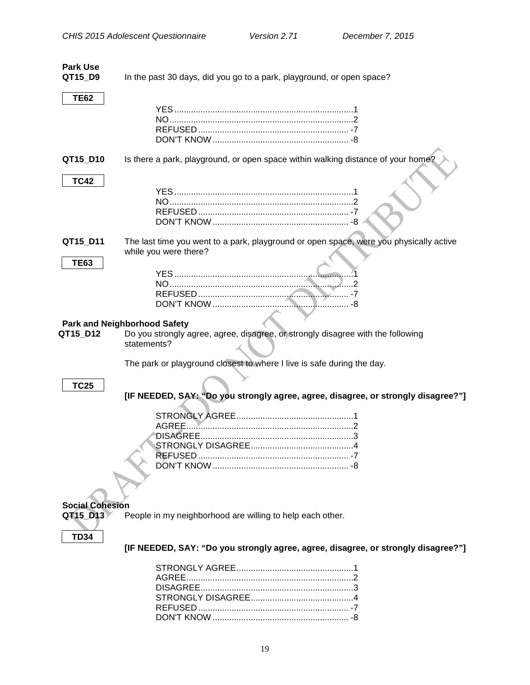<span id="page-21-1"></span><span id="page-21-0"></span>

| <b>Park Use</b>        |                                                                                        |
|------------------------|----------------------------------------------------------------------------------------|
| QT15_D9                | In the past 30 days, did you go to a park, playground, or open space?                  |
|                        |                                                                                        |
| <b>TE62</b>            |                                                                                        |
|                        |                                                                                        |
|                        |                                                                                        |
|                        |                                                                                        |
|                        |                                                                                        |
|                        |                                                                                        |
| QT15_D10               | Is there a park, playground, or open space within walking distance of your home?       |
| <b>TC42</b>            |                                                                                        |
|                        |                                                                                        |
|                        |                                                                                        |
|                        |                                                                                        |
|                        |                                                                                        |
| QT15_D11               | The last time you went to a park, playground or open space, were you physically active |
|                        | while you were there?                                                                  |
| <b>TE63</b>            |                                                                                        |
|                        |                                                                                        |
|                        |                                                                                        |
|                        |                                                                                        |
|                        |                                                                                        |
|                        |                                                                                        |
|                        |                                                                                        |
|                        | <b>Park and Neighborhood Safety</b>                                                    |
| QT15_D12               | Do you strongly agree, agree, disagree, or strongly disagree with the following        |
|                        | statements?                                                                            |
|                        |                                                                                        |
|                        | The park or playground closest to where I live is safe during the day.                 |
|                        |                                                                                        |
| <b>TC25</b>            |                                                                                        |
|                        | [IF NEEDED, SAY: "Do you strongly agree, agree, disagree, or strongly disagree?"]      |
|                        |                                                                                        |
|                        |                                                                                        |
|                        | AGREE                                                                                  |
|                        |                                                                                        |
|                        |                                                                                        |
|                        |                                                                                        |
|                        |                                                                                        |
|                        |                                                                                        |
|                        |                                                                                        |
|                        |                                                                                        |
| <b>Social Cohesion</b> |                                                                                        |
| QT15_D13               | People in my neighborhood are willing to help each other.                              |
|                        |                                                                                        |
| <b>TD34</b>            |                                                                                        |
|                        | [IF NEEDED, SAY: "Do you strongly agree, agree, disagree, or strongly disagree?"]      |
|                        |                                                                                        |
|                        |                                                                                        |
|                        |                                                                                        |
|                        |                                                                                        |
|                        |                                                                                        |
|                        |                                                                                        |

<span id="page-21-2"></span>DON'T KNOW ......................................................... -8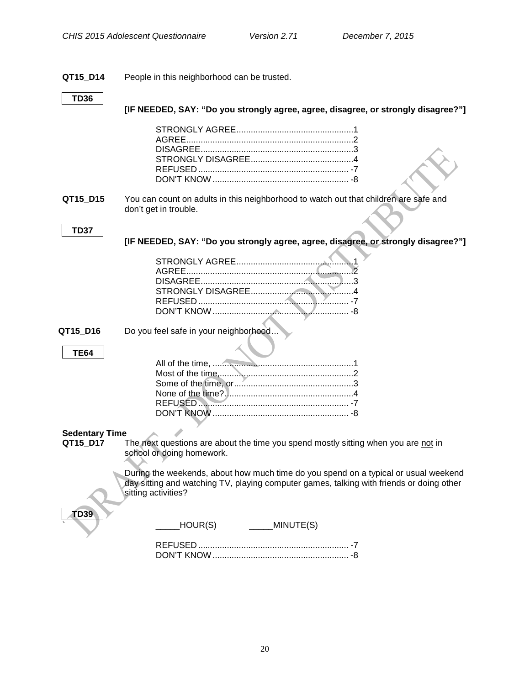#### **QT15\_D14** People in this neighborhood can be trusted.

#### **TD36**

**[IF NEEDED, SAY: "Do you strongly agree, agree, disagree, or strongly disagree?"]**

**QT15\_D15** You can count on adults in this neighborhood to watch out that children are safe and don't get in trouble.

#### **TD37**

**[IF NEEDED, SAY: "Do you strongly agree, agree, disagree, or strongly disagree?"]**

<span id="page-22-0"></span>**QT15 D16** Do you feel safe in your neighborhood...

#### **TE64**

# **Sedentary Time**<br>**QT15\_D17** T

The next questions are about the time you spend mostly sitting when you are not in school or doing homework.

During the weekends, about how much time do you spend on a typical or usual weekend day sitting and watching TV, playing computer games, talking with friends or doing other sitting activities?

| HOUR(S)    | MINUTE(S) |  |
|------------|-----------|--|
| DON'T KNOW |           |  |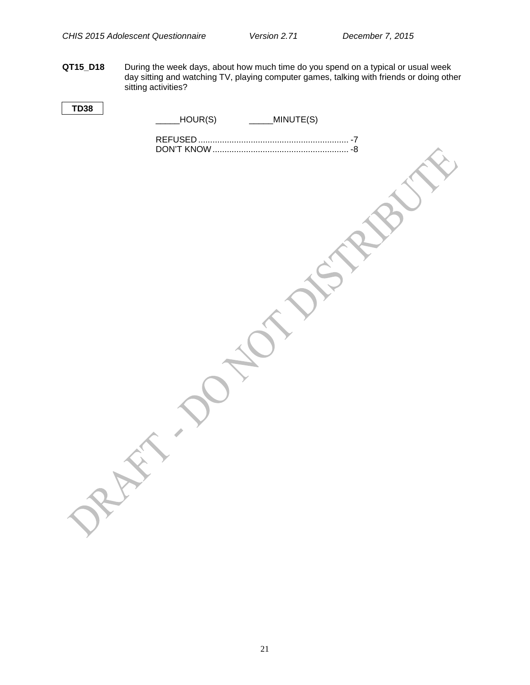**QT15\_D18** During the week days, about how much time do you spend on a typical or usual week day sitting and watching TV, playing computer games, talking with friends or doing other sitting activities?

| <b>TD38</b> | HOUR(S) | _____MINUTE(S) |  |
|-------------|---------|----------------|--|
|             |         |                |  |
|             |         |                |  |
|             |         |                |  |
|             |         |                |  |
|             |         |                |  |
|             |         |                |  |
|             |         |                |  |
|             |         |                |  |
|             |         |                |  |
|             |         |                |  |
|             |         |                |  |
|             |         |                |  |
|             |         |                |  |
|             |         |                |  |
|             |         |                |  |
|             |         |                |  |
|             |         |                |  |
|             |         |                |  |
|             |         |                |  |
|             |         |                |  |
|             |         |                |  |
|             |         |                |  |
|             |         |                |  |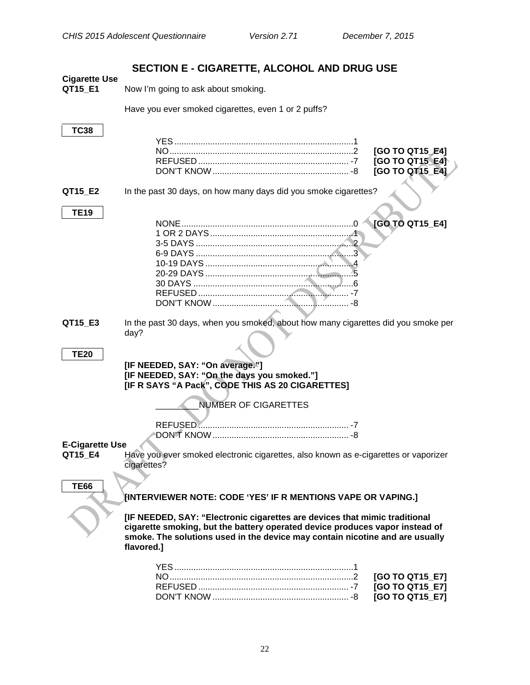NO.............................................................................2 **[GO TO QT15\_E4]** REFUSED ............................................................... -7 **[GO TO QT15\_E4]** TO QT15\_E41

### **SECTION E - CIGARETTE, ALCOHOL AND DRUG USE**

<span id="page-24-1"></span><span id="page-24-0"></span>

| <b>Cigarette Use</b> |  |
|----------------------|--|
| OT15 F1              |  |

Now I'm going to ask about smoking.

Have you ever smoked cigarettes, even 1 or 2 puffs?

# **TC38**

#### **QT15 E2** In the past 30 days, on how many days did you smoke cigarettes?

#### **TE19**

| <b>NONF</b> | <b>[GO TO QT15_E4]</b> |
|-------------|------------------------|
|             |                        |
|             |                        |
|             |                        |
|             |                        |
|             |                        |
|             |                        |
|             |                        |
|             |                        |
|             |                        |

**QT15\_E3** In the past 30 days, when you smoked, about how many cigarettes did you smoke per day?

#### **TE20**

#### **[IF NEEDED, SAY: "On average."] [IF NEEDED, SAY: "On the days you smoked."] [IF R SAYS "A Pack", CODE THIS AS 20 CIGARETTES]**

\_\_\_\_\_\_\_\_\_NUMBER OF CIGARETTES

REFUSED ............................................................... -7 DON'T KNOW......................................................... -8

# <span id="page-24-2"></span>**E-Cigarette Use**

Have you ever smoked electronic cigarettes, also known as e-cigarettes or vaporizer cigarettes?

**TE66**

#### **[INTERVIEWER NOTE: CODE 'YES' IF R MENTIONS VAPE OR VAPING.]**

**[IF NEEDED, SAY: "Electronic cigarettes are devices that mimic traditional cigarette smoking, but the battery operated device produces vapor instead of smoke. The solutions used in the device may contain nicotine and are usually flavored.]**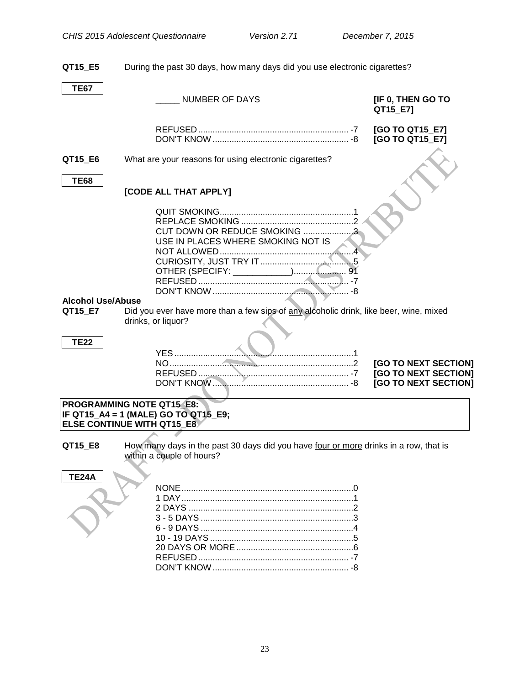<span id="page-25-0"></span>

| QT15_E5                             | During the past 30 days, how many days did you use electronic cigarettes?                                         |                                                                      |
|-------------------------------------|-------------------------------------------------------------------------------------------------------------------|----------------------------------------------------------------------|
| <b>TE67</b>                         | <b>NUMBER OF DAYS</b>                                                                                             | [IF 0, THEN GO TO<br>QT15_E7]                                        |
|                                     |                                                                                                                   | [GO TO QT15_E7]<br>[GO TO QT15_E7]                                   |
| QT15_E6                             | What are your reasons for using electronic cigarettes?                                                            |                                                                      |
| <b>TE68</b>                         | [CODE ALL THAT APPLY]                                                                                             |                                                                      |
|                                     | CUT DOWN OR REDUCE SMOKING 3<br>USE IN PLACES WHERE SMOKING NOT IS                                                |                                                                      |
| <b>Alcohol Use/Abuse</b><br>QT15_E7 | Did you ever have more than a few sips of any alcoholic drink, like beer, wine, mixed                             |                                                                      |
|                                     | drinks, or liquor?                                                                                                |                                                                      |
| <b>TE22</b>                         |                                                                                                                   | [GO TO NEXT SECTION]<br>[GO TO NEXT SECTION]<br>[GO TO NEXT SECTION] |
|                                     | <b>PROGRAMMING NOTE QT15 E8:</b><br>IF QT15_A4 = 1 (MALE) GO TO QT15_E9;<br><b>ELSE CONTINUE WITH QT15 E8</b>     |                                                                      |
| QT15_E8                             | How many days in the past 30 days did you have four or more drinks in a row, that is<br>within a couple of hours? |                                                                      |
| <b>TE24A</b>                        |                                                                                                                   |                                                                      |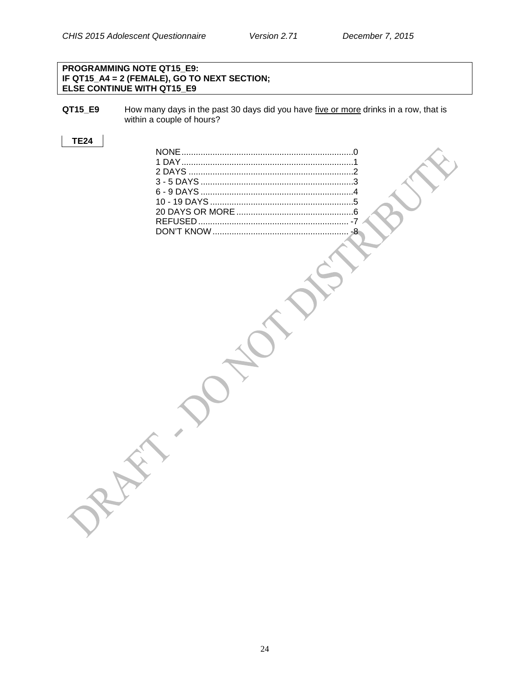#### **PROGRAMMING NOTE QT15\_E9: IF QT15\_A4 = 2 (FEMALE), GO TO NEXT SECTION; ELSE CONTINUE WITH QT15\_E9**

**QT15\_E9** How many days in the past 30 days did you have five or more drinks in a row, that is within a couple of hours?

#### **TE24**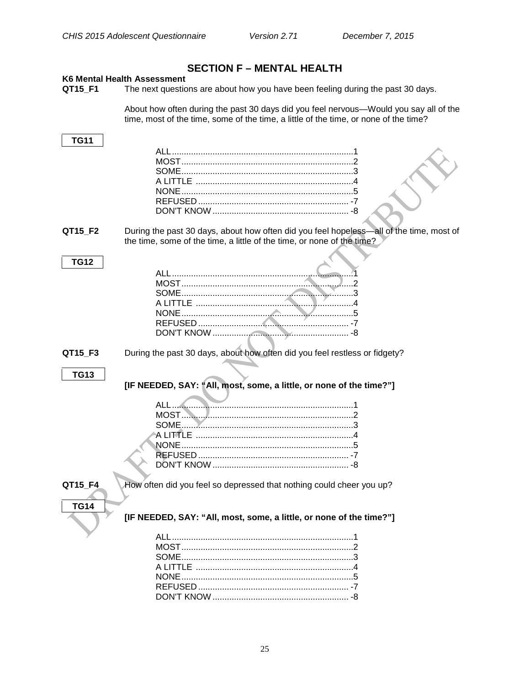# **SECTION F - MENTAL HEALTH**

#### <span id="page-27-1"></span><span id="page-27-0"></span>K6 Mental Health Assessment

The next questions are about how you have been feeling during the past 30 days. QT15\_F1

About how often during the past 30 days did you feel nervous—Would you say all of the time, most of the time, some of the time, a little of the time, or none of the time?

| <b>TG11</b> |                                                                                         |
|-------------|-----------------------------------------------------------------------------------------|
|             | ALL                                                                                     |
|             |                                                                                         |
|             |                                                                                         |
|             |                                                                                         |
|             |                                                                                         |
|             |                                                                                         |
|             |                                                                                         |
|             |                                                                                         |
| QT15_F2     | During the past 30 days, about how often did you feel hopeless-all of the time, most of |
|             | the time, some of the time, a little of the time, or none of the time?                  |
|             |                                                                                         |
| <b>TG12</b> |                                                                                         |
|             |                                                                                         |
|             |                                                                                         |
|             |                                                                                         |
|             |                                                                                         |
|             |                                                                                         |
|             |                                                                                         |
|             |                                                                                         |
|             |                                                                                         |
| QT15_F3     | During the past 30 days, about how often did you feel restless or fidgety?              |
|             |                                                                                         |
| <b>TG13</b> |                                                                                         |
|             | [IF NEEDED, SAY: "All, most, some, a little, or none of the time?"]                     |
|             |                                                                                         |
|             | ALL                                                                                     |
|             |                                                                                         |
|             | SOME                                                                                    |
|             |                                                                                         |
|             |                                                                                         |
|             |                                                                                         |
|             |                                                                                         |
|             |                                                                                         |
| QT15_F4     | How often did you feel so depressed that nothing could cheer you up?                    |
|             |                                                                                         |
| <b>TG14</b> |                                                                                         |
|             | [IF NEEDED, SAY: "All, most, some, a little, or none of the time?"]                     |
|             |                                                                                         |
|             |                                                                                         |
|             |                                                                                         |
|             |                                                                                         |
|             |                                                                                         |
|             |                                                                                         |
|             |                                                                                         |
|             |                                                                                         |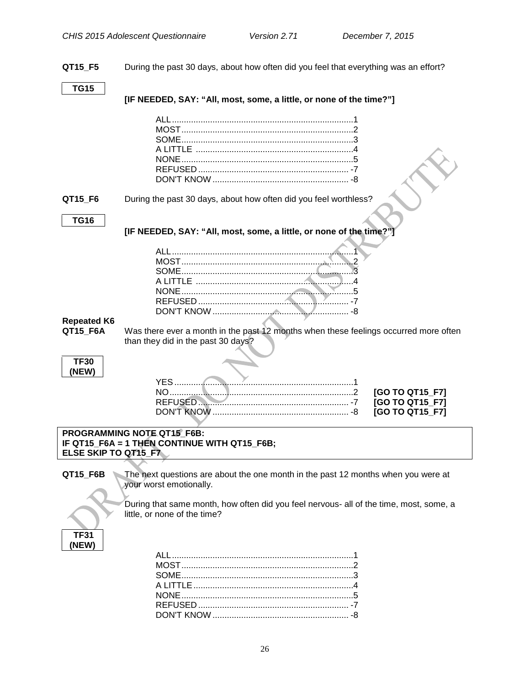**QT15\_F5** During the past 30 days, about how often did you feel that everything was an effort?

#### **TG15**

**[IF NEEDED, SAY: "All, most, some, a little, or none of the time?"]**

|         | LITTLE ………………………………………………………4                                    |
|---------|------------------------------------------------------------------|
|         |                                                                  |
|         | REFUSED 47                                                       |
|         |                                                                  |
|         |                                                                  |
| QT15 F6 | During the past 30 days, about how often did you feel worthless? |

# **TG16**

**[IF NEEDED, SAY: "All, most, some, a little, or none of the time?"]**

# <span id="page-28-0"></span>**Repeated K6**

Was there ever a month in the past 12 months when these feelings occurred more often than they did in the past 30 days?

| -30  |  |
|------|--|
| NEW) |  |

#### **PROGRAMMING NOTE QT15\_F6B: IF QT15\_F6A = 1 THEN CONTINUE WITH QT15\_F6B; ELSE SKIP TO QT15\_F7**

**QT15\_F6B** The next questions are about the one month in the past 12 months when you were at your worst emotionally.



During that same month, how often did you feel nervous- all of the time, most, some, a little, or none of the time?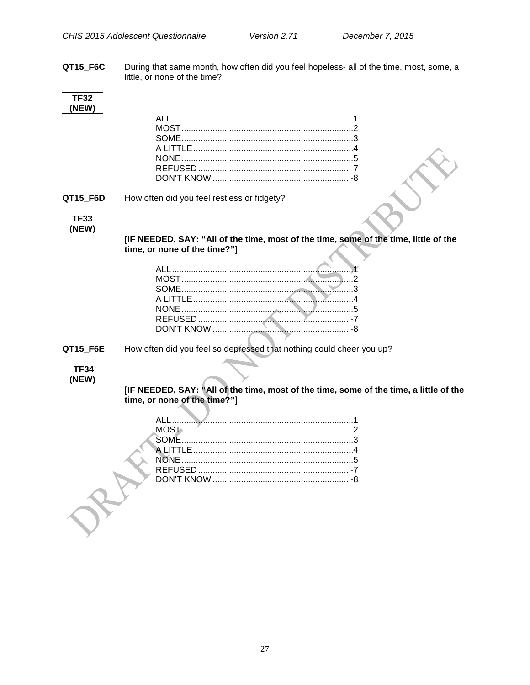QT15\_F6C During that same month, how often did you feel hopeless- all of the time, most, some, a little, or none of the time?

| I F32 |  |
|-------|--|
| (NEW) |  |

#### QT15\_F6D

How often did you feel restless or fidgety?



[IF NEEDED, SAY: "All of the time, most of the time, some of the time, little of the time, or none of the time?"]

**QT15 F6E** 

How often did you feel so depressed that nothing could cheer you up?

[IF NEEDED, SAY: "All of the time, most of the time, some of the time, a little of the time, or none of the time?"]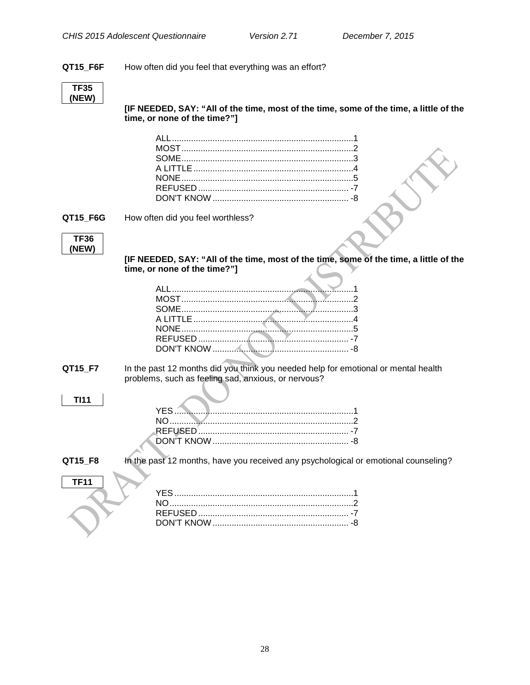#### QT15\_F6F How often did you feel that everything was an effort?



[IF NEEDED, SAY: "All of the time, most of the time, some of the time, a little of the time, or none of the time?"]

QT15\_F6G

How often did you feel worthless?



[IF NEEDED, SAY: "All of the time, most of the time, some of the time, a little of the time, or none of the time?"]

In the past 12 months did you think you needed help for emotional or mental health QT15\_F7 problems, such as feeling sad, anxious, or nervous?

| <b>Contract Contract Contract</b><br>the contract of the contract of the contract of the contract of the contract of the contract of the contract of |  |
|------------------------------------------------------------------------------------------------------------------------------------------------------|--|

QT15\_F8

**TI11** 

In the past 12 months, have you received any psychological or emotional counseling?

| <b>TF11</b> |  |
|-------------|--|
|             |  |
|             |  |
|             |  |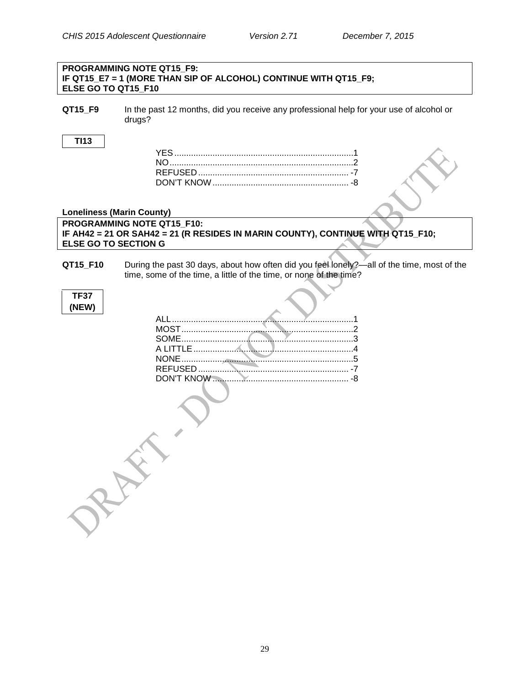#### **PROGRAMMING NOTE QT15\_F9: IF QT15\_E7 = 1 (MORE THAN SIP OF ALCOHOL) CONTINUE WITH QT15\_F9; ELSE GO TO QT15\_F10**

**QT15\_F9** In the past 12 months, did you receive any professional help for your use of alcohol or drugs?

#### **TI13**

#### **Loneliness (Marin County) PROGRAMMING NOTE QT15\_F10:**

**IF AH42 = 21 OR SAH42 = 21 (R RESIDES IN MARIN COUNTY), CONTINUE WITH QT15\_F10; ELSE GO TO SECTION G**

**QT15 F10** During the past 30 days, about how often did you feel lonely?—all of the time, most of the time, some of the time, a little of the time, or none of the time?

<span id="page-31-0"></span>

| TF37  |
|-------|
| (NEW) |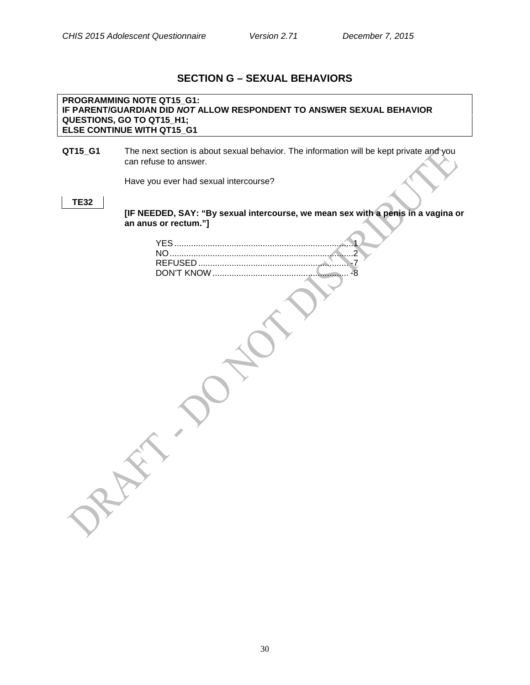# **SECTION G – SEXUAL BEHAVIORS**

#### **PROGRAMMING NOTE QT15\_G1: IF PARENT/GUARDIAN DID** *NOT* **ALLOW RESPONDENT TO ANSWER SEXUAL BEHAVIOR QUESTIONS, GO TO QT15\_H1; ELSE CONTINUE WITH QT15\_G1**

#### **QT15\_G1** The next section is about sexual behavior. The information will be kept private and you can refuse to answer.

Have you ever had sexual intercourse?

#### **TE32**

**[IF NEEDED, SAY: "By sexual intercourse, we mean sex with a penis in a vagina or an anus or rectum."]**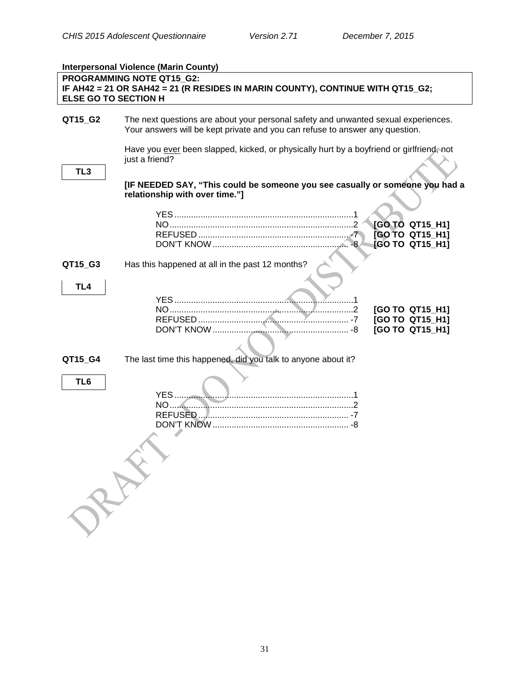|                             | <b>Interpersonal Violence (Marin County)</b>                                                                                                                       |                                                       |
|-----------------------------|--------------------------------------------------------------------------------------------------------------------------------------------------------------------|-------------------------------------------------------|
| <b>ELSE GO TO SECTION H</b> | PROGRAMMING NOTE QT15 G2:<br>IF AH42 = 21 OR SAH42 = 21 (R RESIDES IN MARIN COUNTY), CONTINUE WITH QT15_G2;                                                        |                                                       |
| QT15_G2                     | The next questions are about your personal safety and unwanted sexual experiences.<br>Your answers will be kept private and you can refuse to answer any question. |                                                       |
| TL <sub>3</sub>             | Have you ever been slapped, kicked, or physically hurt by a boyfriend or girlfriend, not<br>just a friend?                                                         |                                                       |
|                             | [IF NEEDED SAY, "This could be someone you see casually or someone you had a<br>relationship with over time."]                                                     | [GO TO QT15_H1]<br>[GO TO QT15_H1]                    |
| QT15_G3                     | Has this happened at all in the past 12 months?                                                                                                                    | [GO TO QT15_H1]                                       |
| TL4                         |                                                                                                                                                                    | [GO TO QT15_H1]<br>[GO TO QT15_H1]<br>[GO TO QT15_H1] |
| QT15_G4                     | The last time this happened, did you talk to anyone about it?                                                                                                      |                                                       |
| TL <sub>6</sub>             | RAY                                                                                                                                                                |                                                       |
|                             |                                                                                                                                                                    |                                                       |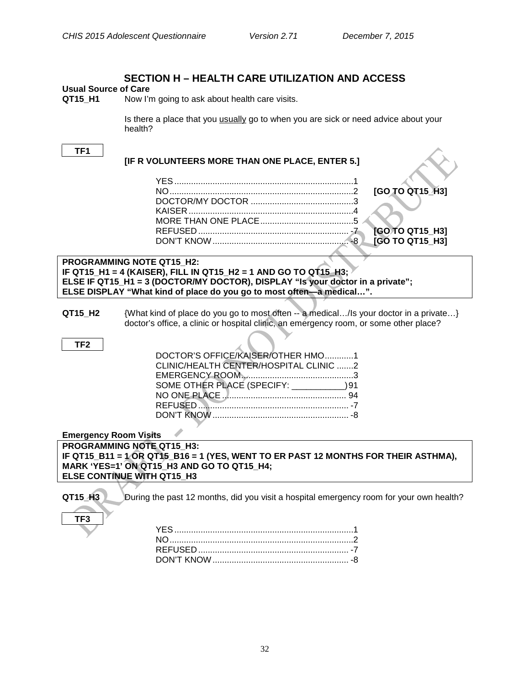### **SECTION H – HEALTH CARE UTILIZATION AND ACCESS**

# <span id="page-34-1"></span><span id="page-34-0"></span>**Usual Source of Care**

Now I'm going to ask about health care visits.

Is there a place that you usually go to when you are sick or need advice about your health?

#### **TF1**

### **[IF R VOLUNTEERS MORE THAN ONE PLACE, ENTER 5.]** YES...........................................................................1 NO.............................................................................2 **[GO TO QT15\_H3]** DOCTOR/MY DOCTOR ...........................................3 KAISER .....................................................................4 MORE THAN ONE PLACE.......................................5 REFUSED ............................................................... -7 **[GO TO QT15\_H3]** DON'T KNOW......................................................... -8 **[GO TO QT15\_H3] PROGRAMMING NOTE QT15\_H2: IF QT15\_H1 = 4 (KAISER), FILL IN QT15\_H2 = 1 AND GO TO QT15\_H3; ELSE IF QT15\_H1 = 3 (DOCTOR/MY DOCTOR), DISPLAY "Is your doctor in a private"; ELSE DISPLAY "What kind of place do you go to most often—a medical…".**

**QT15\_H2** {What kind of place do you go to most often -- a medical…/Is your doctor in a private…} doctor's office, a clinic or hospital clinic, an emergency room, or some other place?

#### **TF2**

| DOCTOR'S OFFICE/KAISER/OTHER HMO1            |  |
|----------------------------------------------|--|
| CLINIC/HEALTH CENTER/HOSPITAL CLINIC 2       |  |
|                                              |  |
| SOME OTHER PLACE (SPECIFY: ______________)91 |  |
|                                              |  |
|                                              |  |
|                                              |  |

<span id="page-34-2"></span>**Emergency Room Visits**

**PROGRAMMING NOTE QT15\_H3: IF QT15\_B11 = 1 OR QT15\_B16 = 1 (YES, WENT TO ER PAST 12 MONTHS FOR THEIR ASTHMA), MARK 'YES=1' ON QT15\_H3 AND GO TO QT15\_H4; ELSE CONTINUE WITH QT15\_H3**

**TF3**

**QT15 H3** During the past 12 months, did you visit a hospital emergency room for your own health?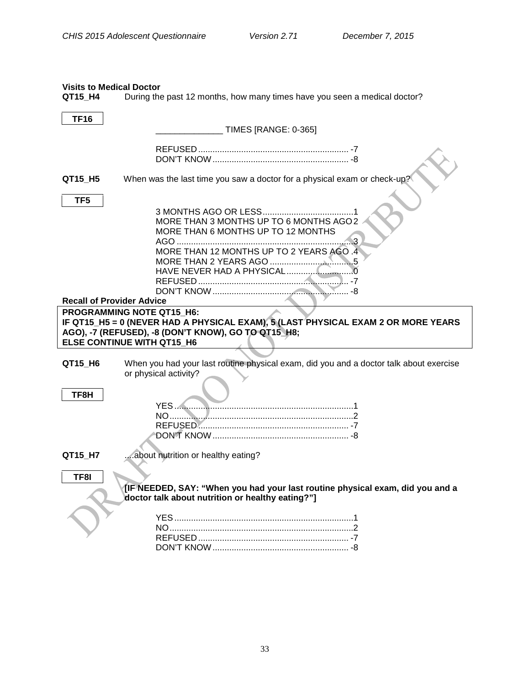# <span id="page-35-0"></span>**Visits to Medical Doctor<br>QT15\_H4** During the

During the past 12 months, how many times have you seen a medical doctor?

<span id="page-35-1"></span>

| <b>TF16</b>                                                                                                                                                                                                |                                                                                                                                   |  |  |
|------------------------------------------------------------------------------------------------------------------------------------------------------------------------------------------------------------|-----------------------------------------------------------------------------------------------------------------------------------|--|--|
|                                                                                                                                                                                                            | <b>TIMES [RANGE: 0-365]</b>                                                                                                       |  |  |
|                                                                                                                                                                                                            |                                                                                                                                   |  |  |
| QT15 H5<br>TF <sub>5</sub>                                                                                                                                                                                 | When was the last time you saw a doctor for a physical exam or check-up?                                                          |  |  |
|                                                                                                                                                                                                            | MORE THAN 3 MONTHS UP TO 6 MONTHS AGO 2<br>MORE THAN 6 MONTHS UP TO 12 MONTHS<br>MORE THAN 12 MONTHS UP TO 2 YEARS AGO .4         |  |  |
| <b>Recall of Provider Advice</b>                                                                                                                                                                           |                                                                                                                                   |  |  |
| PROGRAMMING NOTE QT15_H6:<br>IF QT15_H5 = 0 (NEVER HAD A PHYSICAL EXAM), 5 (LAST PHYSICAL EXAM 2 OR MORE YEARS<br>AGO), -7 (REFUSED), -8 (DON'T KNOW), GO TO QT15 H8;<br><b>ELSE CONTINUE WITH QT15 H6</b> |                                                                                                                                   |  |  |
| QT15 H6                                                                                                                                                                                                    | When you had your last routine physical exam, did you and a doctor talk about exercise<br>or physical activity?                   |  |  |
| TF8H                                                                                                                                                                                                       |                                                                                                                                   |  |  |
| QT15_H7                                                                                                                                                                                                    | about nutrition or healthy eating?                                                                                                |  |  |
| TF8I                                                                                                                                                                                                       | [IF NEEDED, SAY: "When you had your last routine physical exam, did you and a<br>doctor talk about nutrition or healthy eating?"] |  |  |
|                                                                                                                                                                                                            |                                                                                                                                   |  |  |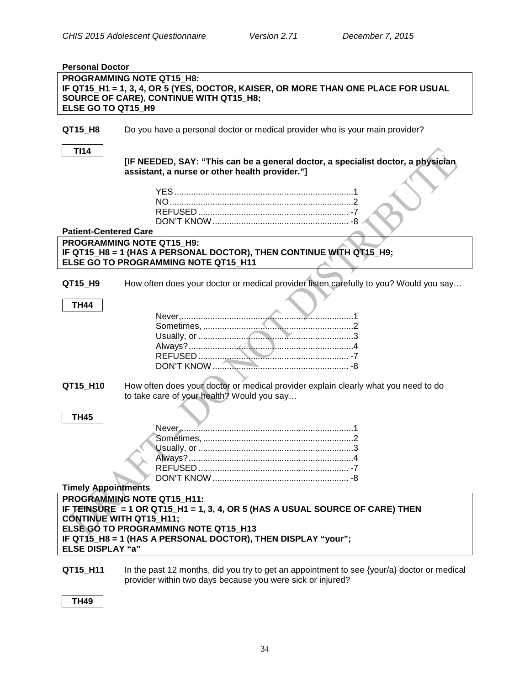<span id="page-36-1"></span><span id="page-36-0"></span>

| <b>Personal Doctor</b>                                                                                                                                                                 |                                                                                                                                                                                                                                                      |  |  |
|----------------------------------------------------------------------------------------------------------------------------------------------------------------------------------------|------------------------------------------------------------------------------------------------------------------------------------------------------------------------------------------------------------------------------------------------------|--|--|
| <b>PROGRAMMING NOTE QT15 H8:</b><br>IF QT15_H1 = 1, 3, 4, OR 5 (YES, DOCTOR, KAISER, OR MORE THAN ONE PLACE FOR USUAL<br>SOURCE OF CARE), CONTINUE WITH QT15_H8;<br>ELSE GO TO QT15 H9 |                                                                                                                                                                                                                                                      |  |  |
| QT15_H8                                                                                                                                                                                | Do you have a personal doctor or medical provider who is your main provider?                                                                                                                                                                         |  |  |
| <b>TI14</b>                                                                                                                                                                            | [IF NEEDED, SAY: "This can be a general doctor, a specialist doctor, a physician<br>assistant, a nurse or other health provider."]                                                                                                                   |  |  |
| <b>Patient-Centered Care</b>                                                                                                                                                           |                                                                                                                                                                                                                                                      |  |  |
|                                                                                                                                                                                        | <b>PROGRAMMING NOTE QT15 H9:</b><br>IF QT15_H8 = 1 (HAS A PERSONAL DOCTOR), THEN CONTINUE WITH QT15_H9;<br>ELSE GO TO PROGRAMMING NOTE QT15_H11                                                                                                      |  |  |
| QT15_H9                                                                                                                                                                                | How often does your doctor or medical provider listen carefully to you? Would you say                                                                                                                                                                |  |  |
| TH44                                                                                                                                                                                   |                                                                                                                                                                                                                                                      |  |  |
| QT15_H10                                                                                                                                                                               | How often does your doctor or medical provider explain clearly what you need to do<br>to take care of your health? Would you say                                                                                                                     |  |  |
| <b>TH45</b><br><b>Timely Appointments</b>                                                                                                                                              |                                                                                                                                                                                                                                                      |  |  |
| <b>ELSE DISPLAY "a"</b>                                                                                                                                                                | PROGRAMMING NOTE QT15 H11:<br>IF TEINSURE = 1 OR QT15_H1 = 1, 3, 4, OR 5 (HAS A USUAL SOURCE OF CARE) THEN<br><b>CONTINUE WITH QT15_H11;</b><br>ELSE GO TO PROGRAMMING NOTE QT15 H13<br>IF QT15 H8 = 1 (HAS A PERSONAL DOCTOR), THEN DISPLAY "your"; |  |  |
|                                                                                                                                                                                        | <b>OT15 H11</b> In the past 12 months, did you try to get an appointment to see <i>[your]al doctor or medical</i>                                                                                                                                    |  |  |

#### <span id="page-36-2"></span>**QT15\_H11** In the past 12 months, did you try to get an appointment to see {your/a} doctor or medical provider within two days because you were sick or injured?

**TH49**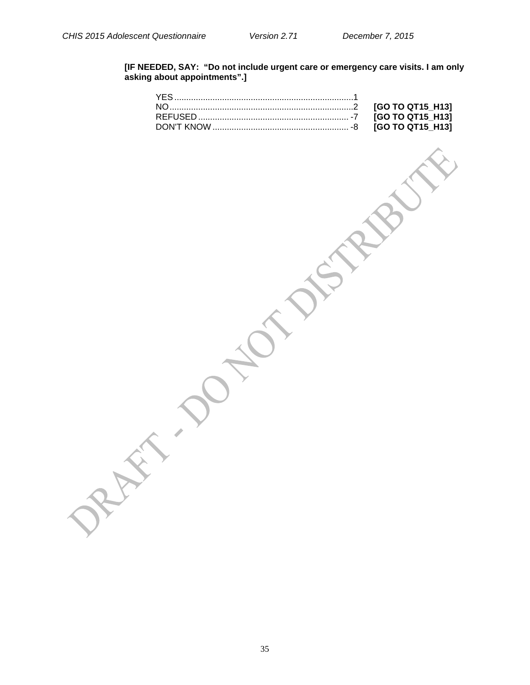#### **[IF NEEDED, SAY: "Do not include urgent care or emergency care visits. I am only asking about appointments".]**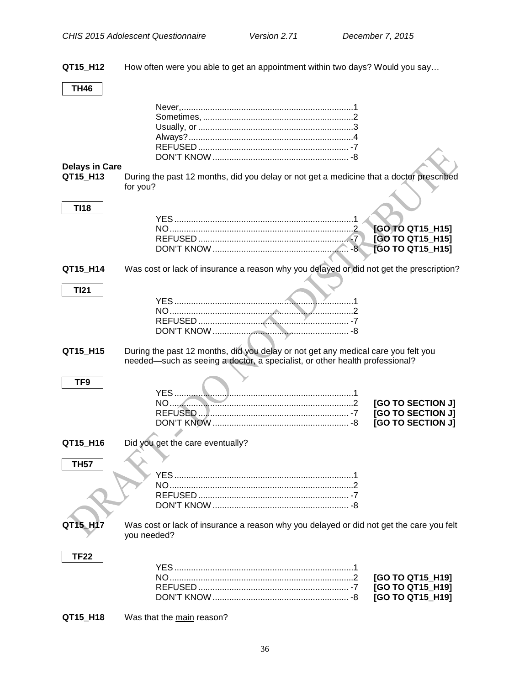**QT15\_H12** How often were you able to get an appointment within two days? Would you say…

#### **TH46**

# <span id="page-38-0"></span>**Delays in Care**

**TI18**

**TI21**

**QT15\_H13** During the past 12 months, did you delay or not get a medicine that a doctor prescribed for you?

### YES...........................................................................1 NO.............................................................................2 **[GO TO QT15\_H15]** REFUSED ............................................................... -7 **[GO TO QT15\_H15]** DON'T KNOW......................................................... -8 **[GO TO QT15\_H15]**

#### **QT15 H14** Was cost or lack of insurance a reason why you delayed or did not get the prescription?

#### **QT15\_H15** During the past 12 months, did you delay or not get any medical care you felt you needed—such as seeing a doctor, a specialist, or other health professional?

### **TF9**

|  | [GO TO SECTION J] |
|--|-------------------|
|  |                   |

#### **QT15\_H16** Did you get the care eventually?

#### **TH57**

**QT15\_H17** Was cost or lack of insurance a reason why you delayed or did not get the care you felt you needed?

#### **TF22**

#### **QT15\_H18** Was that the main reason?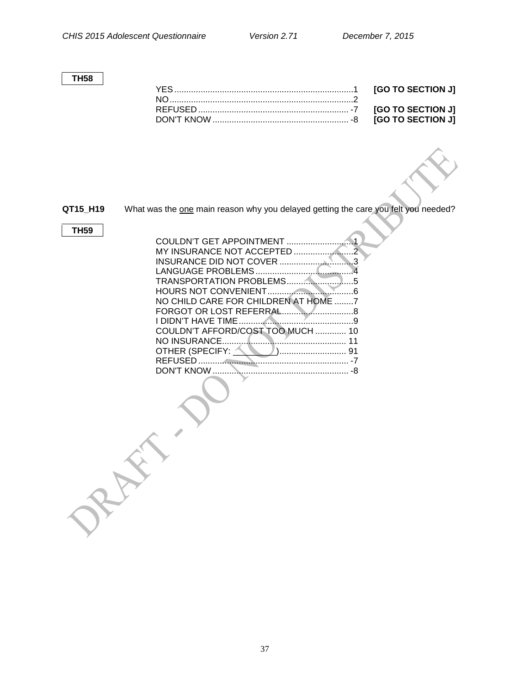#### **TH58**

**QT15\_H19** What was the one main reason why you delayed getting the care you felt you needed?

#### **TH59**

| NO CHILD CARE FOR CHILDREN AT HOME 7 |
|--------------------------------------|
|                                      |
|                                      |
| COULDN'T AFFORD/COST TOO MUCH  10    |
| 11                                   |
|                                      |
|                                      |
|                                      |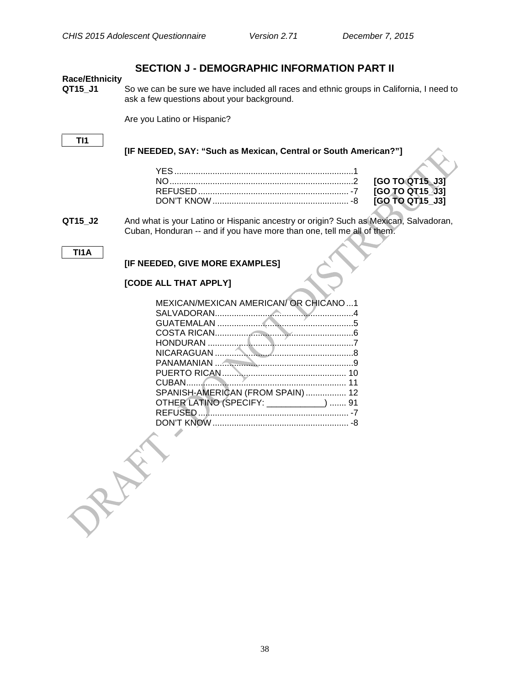$[GO TO QT15$ \_J3]  $FGO TO QT15 J31$  $[GO TO QT15_J3]$ 

### **SECTION J - DEMOGRAPHIC INFORMATION PART II**

# <span id="page-40-1"></span><span id="page-40-0"></span>**Race/Ethnicity**

So we can be sure we have included all races and ethnic groups in California, I need to ask a few questions about your background.

Are you Latino or Hispanic?

**TI1**

#### **[IF NEEDED, SAY: "Such as Mexican, Central or South American?"]**

**QT15\_J2** And what is your Latino or Hispanic ancestry or origin? Such as Mexican, Salvadoran, Cuban, Honduran -- and if you have more than one, tell me all of them.

**TI1A**

### **[IF NEEDED, GIVE MORE EXAMPLES]**

#### **[CODE ALL THAT APPLY]**

RAY

| MEXICAN/MEXICAN AMERICAN/ OR CHICANO1   |  |
|-----------------------------------------|--|
|                                         |  |
|                                         |  |
|                                         |  |
|                                         |  |
|                                         |  |
|                                         |  |
|                                         |  |
|                                         |  |
| SPANISH-AMERICAN (FROM SPAIN) 12        |  |
| OTHER LATINO (SPECIFY: ___________)  91 |  |
|                                         |  |
|                                         |  |
|                                         |  |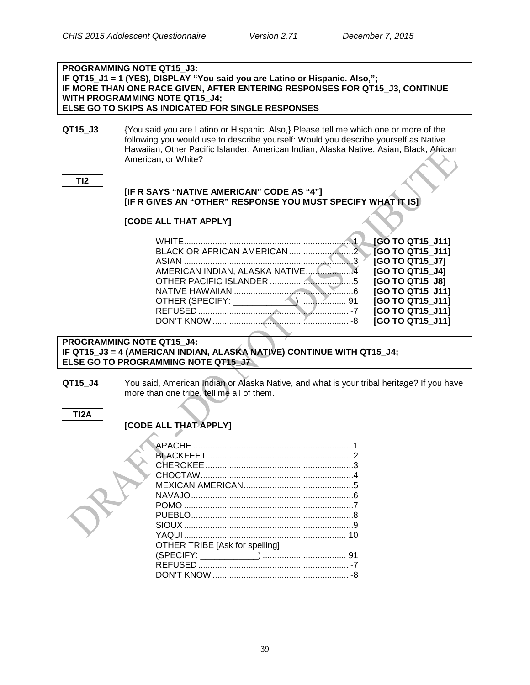| <b>PROGRAMMING NOTE QT15 J3:</b>                                                                           |                                                                                         |                  |
|------------------------------------------------------------------------------------------------------------|-----------------------------------------------------------------------------------------|------------------|
| IF QT15 J1 = 1 (YES), DISPLAY "You said you are Latino or Hispanic. Also,";                                |                                                                                         |                  |
|                                                                                                            | IF MORE THAN ONE RACE GIVEN, AFTER ENTERING RESPONSES FOR QT15_J3, CONTINUE             |                  |
|                                                                                                            | <b>WITH PROGRAMMING NOTE QT15 J4;</b>                                                   |                  |
|                                                                                                            | ELSE GO TO SKIPS AS INDICATED FOR SINGLE RESPONSES                                      |                  |
|                                                                                                            |                                                                                         |                  |
| QT15 J3                                                                                                    | {You said you are Latino or Hispanic. Also,} Please tell me which one or more of the    |                  |
|                                                                                                            | following you would use to describe yourself: Would you describe yourself as Native     |                  |
|                                                                                                            | Hawaiian, Other Pacific Islander, American Indian, Alaska Native, Asian, Black, African |                  |
|                                                                                                            | American, or White?                                                                     |                  |
|                                                                                                            |                                                                                         |                  |
| TI <sub>2</sub>                                                                                            |                                                                                         |                  |
|                                                                                                            | [IF R SAYS "NATIVE AMERICAN" CODE AS "4"]                                               |                  |
| [IF R GIVES AN "OTHER" RESPONSE YOU MUST SPECIFY WHAT IT IS]                                               |                                                                                         |                  |
|                                                                                                            |                                                                                         |                  |
|                                                                                                            | [CODE ALL THAT APPLY]                                                                   |                  |
|                                                                                                            |                                                                                         |                  |
|                                                                                                            |                                                                                         | [GO TO QT15_J11] |
|                                                                                                            |                                                                                         | [GO TO QT15_J11] |
|                                                                                                            |                                                                                         | [GO TO QT15_J7]  |
|                                                                                                            | AMERICAN INDIAN, ALASKA NATIVE4                                                         | [GO TO QT15_J4]  |
|                                                                                                            |                                                                                         | [GO TO QT15_J8]  |
|                                                                                                            |                                                                                         | [GO TO QT15_J11] |
|                                                                                                            |                                                                                         | [GO TO QT15_J11] |
|                                                                                                            |                                                                                         | [GO TO QT15 J11] |
|                                                                                                            |                                                                                         | [GO TO QT15_J11] |
|                                                                                                            |                                                                                         |                  |
| <b>PROGRAMMING NOTE QT15_J4:</b><br>IF QT15_J3 = 4 (AMERICAN INDIAN, ALASKA NATIVE) CONTINUE WITH QT15_J4; |                                                                                         |                  |
|                                                                                                            | ELSE GO TO PROGRAMMING NOTE QT15 J7                                                     |                  |
|                                                                                                            |                                                                                         |                  |

**QT15\_J4** You said, American Indian or Alaska Native, and what is your tribal heritage? If you have more than one tribe, tell me all of them.

**TI2A**

# **[CODE ALL THAT APPLY]**

| <b>OTHER TRIBE [Ask for spelling]</b> |  |
|---------------------------------------|--|
|                                       |  |
|                                       |  |
|                                       |  |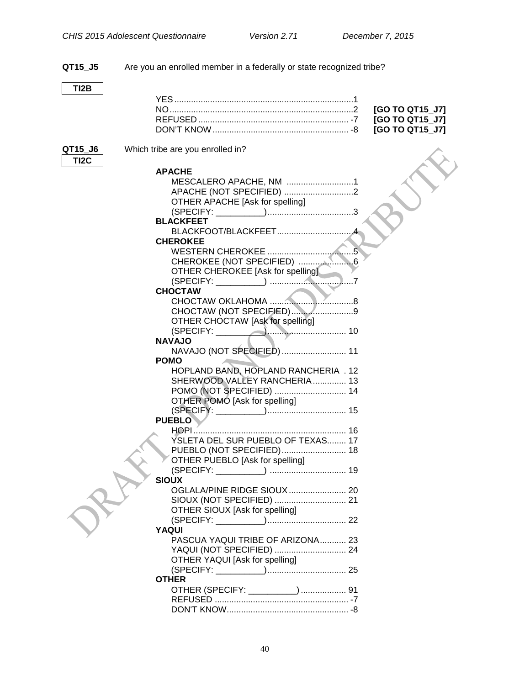**QT15\_J5** Are you an enrolled member in a federally or state recognized tribe? **TI2B** YES...........................................................................1 NO.............................................................................2 **[GO TO QT15\_J7]** REFUSED ............................................................... -7 **[GO TO QT15\_J7]** DON'T KNOW......................................................... -8 **[GO TO QT15\_J7] QT15 J6** Which tribe are you enrolled in? **TI2C APACHE** MESCALERO APACHE, NM ............................1 APACHE (NOT SPECIFIED) .............................2 OTHER APACHE [Ask for spelling] (SPECIFY: \_\_\_\_\_\_\_\_\_\_)....................................3 **BLACKFEET** BLACKFOOT/BLACKFEET................................4 **CHEROKEE** WESTERN CHEROKEE ....................................5 CHEROKEE (NOT SPECIFIED) .......................6 OTHER CHEROKEE [Ask for spelling] (SPECIFY: \_\_\_\_\_\_\_\_\_\_) ...................................7 **CHOCTAW** CHOCTAW OKLAHOMA ...................................8 CHOCTAW (NOT SPECIFIED)..........................9 OTHER CHOCTAW [Ask for spelling] (SPECIFY: \_\_\_\_\_\_\_\_\_\_)................................. 10 **NAVAJO** NAVAJO (NOT SPECIFIED)........................... 11 **POMO** HOPLAND BAND, HOPLAND RANCHERIA . 12 SHERWOOD VALLEY RANCHERIA.............. 13 POMO (NOT SPECIFIED) .............................. 14 OTHER POMO [Ask for spelling] (SPECIFY: \_\_\_\_\_\_\_\_\_\_)................................. 15 **PUEBLO** HOPI................................................................ 16 YSLETA DEL SUR PUEBLO OF TEXAS........ 17 PUEBLO (NOT SPECIFIED)........................... 18 OTHER PUEBLO [Ask for spelling] (SPECIFY: \_\_\_\_\_\_\_\_\_\_) ................................ 19 **SIOUX** OGLALA/PINE RIDGE SIOUX........................ 20 SIOUX (NOT SPECIFIED) .............................. 21 OTHER SIOUX [Ask for spelling] (SPECIFY: \_\_\_\_\_\_\_\_\_\_)................................. 22 **YAQUI** PASCUA YAQUI TRIBE OF ARIZONA........... 23 YAQUI (NOT SPECIFIED) .............................. 24 OTHER YAQUI [Ask for spelling] (SPECIFY: \_\_\_\_\_\_\_\_\_\_)................................. 25 **OTHER** OTHER (SPECIFY: \_\_\_\_\_\_\_\_\_\_)................... 91

REFUSED ........................................................ -7 DON'T KNOW................................................... -8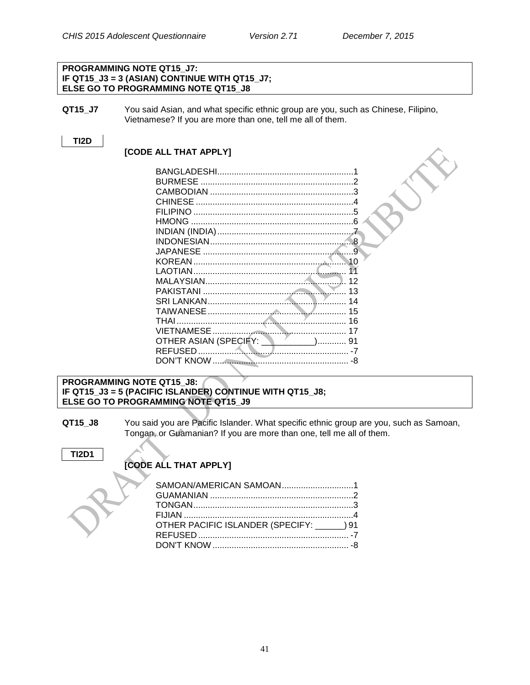#### **PROGRAMMING NOTE QT15\_J7: IF QT15\_J3 = 3 (ASIAN) CONTINUE WITH QT15\_J7; ELSE GO TO PROGRAMMING NOTE QT15\_J8**

**QT15\_J7** You said Asian, and what specific ethnic group are you, such as Chinese, Filipino, Vietnamese? If you are more than one, tell me all of them.

#### **TI2D**

#### **[CODE ALL THAT APPLY]**

| <b>CHINESE</b>                                              |    |
|-------------------------------------------------------------|----|
|                                                             |    |
|                                                             |    |
|                                                             |    |
|                                                             |    |
|                                                             |    |
|                                                             |    |
|                                                             |    |
|                                                             |    |
|                                                             | 13 |
|                                                             | 14 |
|                                                             | 15 |
|                                                             |    |
|                                                             |    |
| OTHER ASIAN (SPECIFY: \\ \ \ \ \ \ \ \ \ \ \ \ \ \ \ \ \ 31 |    |
|                                                             |    |
|                                                             |    |
|                                                             |    |

#### **PROGRAMMING NOTE QT15\_J8: IF QT15\_J3 = 5 (PACIFIC ISLANDER) CONTINUE WITH QT15\_J8; ELSE GO TO PROGRAMMING NOTE QT15\_J9**

**QT15\_J8** You said you are Pacific Islander. What specific ethnic group are you, such as Samoan, Tongan, or Guamanian? If you are more than one, tell me all of them.

#### **TI2D1**

### **[CODE ALL THAT APPLY]**

| SAMOAN/AMERICAN SAMOAN1                    |  |
|--------------------------------------------|--|
|                                            |  |
|                                            |  |
|                                            |  |
| OTHER PACIFIC ISLANDER (SPECIFY: _____) 91 |  |
|                                            |  |
|                                            |  |
|                                            |  |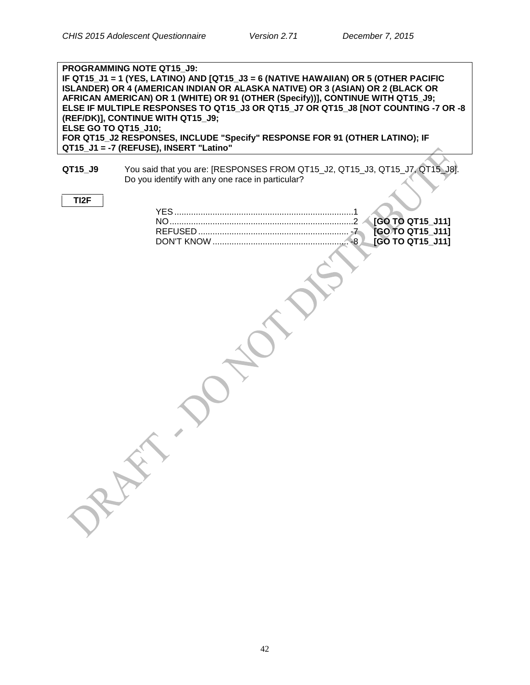| PROGRAMMING NOTE QT15_J9:<br>IF QT15_J1 = 1 (YES, LATINO) AND [QT15_J3 = 6 (NATIVE HAWAIIAN) OR 5 (OTHER PACIFIC<br>ISLANDER) OR 4 (AMERICAN INDIAN OR ALASKA NATIVE) OR 3 (ASIAN) OR 2 (BLACK OR<br>AFRICAN AMERICAN) OR 1 (WHITE) OR 91 (OTHER (Specify))], CONTINUE WITH QT15_J9;<br>ELSE IF MULTIPLE RESPONSES TO QT15 J3 OR QT15 J7 OR QT15 J8 [NOT COUNTING -7 OR -8<br>(REF/DK)], CONTINUE WITH QT15_J9;<br><b>ELSE GO TO QT15_J10;</b><br>FOR QT15_J2 RESPONSES, INCLUDE "Specify" RESPONSE FOR 91 (OTHER LATINO); IF<br>QT15_J1 = -7 (REFUSE), INSERT "Latino" |                                                                                                                                 |  |
|-------------------------------------------------------------------------------------------------------------------------------------------------------------------------------------------------------------------------------------------------------------------------------------------------------------------------------------------------------------------------------------------------------------------------------------------------------------------------------------------------------------------------------------------------------------------------|---------------------------------------------------------------------------------------------------------------------------------|--|
| QT15_J9                                                                                                                                                                                                                                                                                                                                                                                                                                                                                                                                                                 | You said that you are: [RESPONSES FROM QT15_J2, QT15_J3, QT15_J7, QT15_J8].<br>Do you identify with any one race in particular? |  |
| TI <sub>2</sub> F                                                                                                                                                                                                                                                                                                                                                                                                                                                                                                                                                       | [GO TO QT15_J11]<br>[GO TO QT15_J11]<br>$\mathcal{I}$<br><b>[GO TO QT15 J11]</b><br>-8<br>PRAIL                                 |  |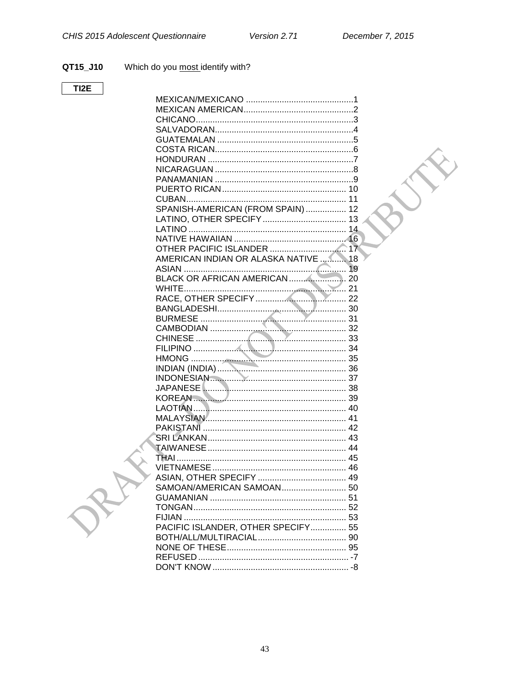$\sum_{\alpha}$ 

#### Which do you most identify with? QT15\_J10

### $TI2E$

| SPANISH-AMERICAN (FROM SPAIN)  12    |  |
|--------------------------------------|--|
|                                      |  |
|                                      |  |
|                                      |  |
|                                      |  |
|                                      |  |
| AMERICAN INDIAN OR ALASKA NATIVE  18 |  |
|                                      |  |
|                                      |  |
|                                      |  |
|                                      |  |
|                                      |  |
|                                      |  |
|                                      |  |
|                                      |  |
|                                      |  |
|                                      |  |
| INDIAN (INDIA) 36                    |  |
|                                      |  |
| INDONESIAN                           |  |
|                                      |  |
| KOREAN 39                            |  |
|                                      |  |
|                                      |  |
|                                      |  |
|                                      |  |
|                                      |  |
|                                      |  |
|                                      |  |
|                                      |  |
|                                      |  |
|                                      |  |
|                                      |  |
|                                      |  |
|                                      |  |
| PACIFIC ISLANDER, OTHER SPECIFY 55   |  |
|                                      |  |
|                                      |  |
|                                      |  |
|                                      |  |
|                                      |  |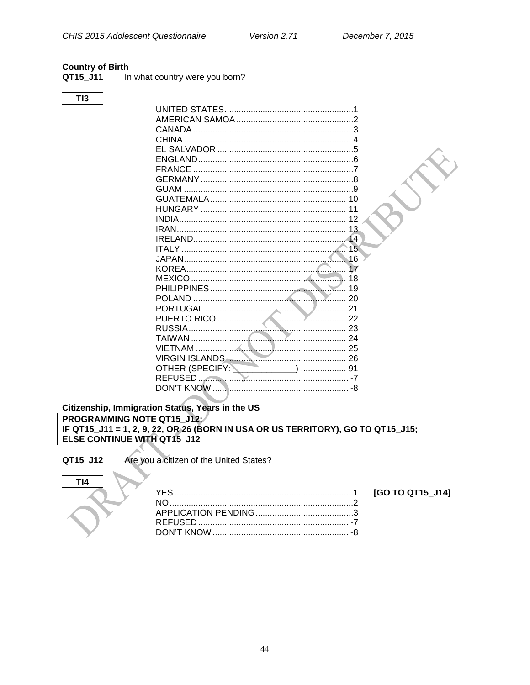#### <span id="page-46-0"></span>**Country of Birth**

QT15\_J11 In what country were you born?

 $TI3$ 

|                            | 15 <sup>1</sup> |  |
|----------------------------|-----------------|--|
|                            | $\sqrt{16}$     |  |
|                            |                 |  |
|                            | 18              |  |
|                            | 19              |  |
|                            | 20              |  |
|                            |                 |  |
|                            |                 |  |
|                            |                 |  |
| $\sim$ 24<br><b>TAIWAN</b> |                 |  |
|                            |                 |  |
| N.                         |                 |  |
| OTHER (SPECIFY: 191        |                 |  |
|                            |                 |  |
|                            |                 |  |

#### <span id="page-46-1"></span>Citizenship, Immigration Status, Years in the US PROGRAMMING NOTE QT15 J12: IF QT15\_J11 = 1, 2, 9, 22, OR 26 (BORN IN USA OR US TERRITORY), GO TO QT15\_J15; ELSE CONTINUE WITH QT15\_J12

#### QT15\_J12

Are you a citizen of the United States?

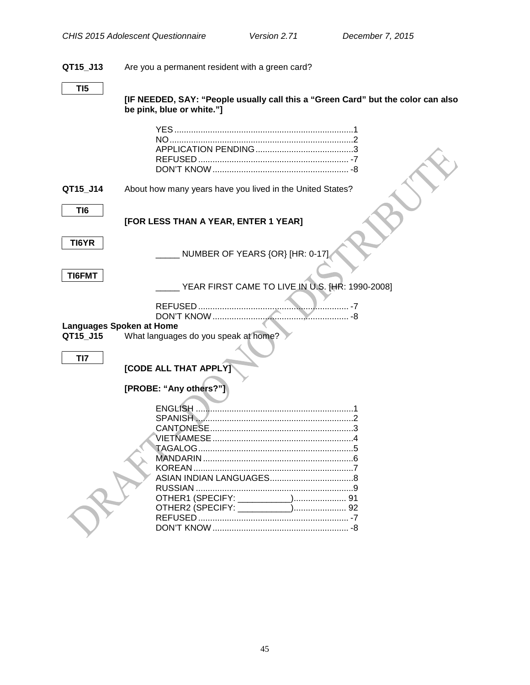### **QT15\_J13** Are you a permanent resident with a green card?

**[IF NEEDED, SAY: "People usually call this a "Green Card" but the color can also be pink, blue or white."]**

<span id="page-47-0"></span>

| QT15 J14                                           | About how many years have you lived in the United States?            |
|----------------------------------------------------|----------------------------------------------------------------------|
| TI <sub>6</sub>                                    | [FOR LESS THAN A YEAR, ENTER 1 YEAR]                                 |
| TI6YR                                              | NUMBER OF YEARS {OR} [HR: 0-17].                                     |
| <b>TI6FMT</b>                                      | YEAR FIRST CAME TO LIVE IN U.S. [HR: 1990-2008]                      |
| <b>Languages Spoken at Home</b><br>QT15 J15<br>TI7 | What languages do you speak at home?<br><b>[CODE ALL THAT APPLY]</b> |
|                                                    | [PROBE: "Any others?"]                                               |
|                                                    |                                                                      |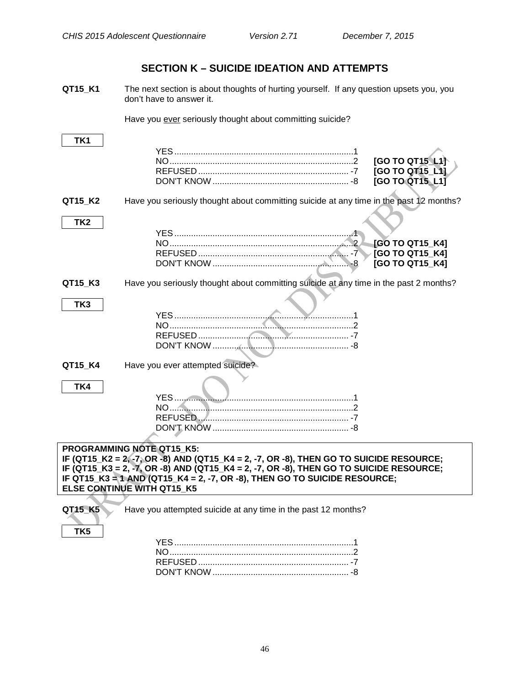# **SECTION K – SUICIDE IDEATION AND ATTEMPTS**

<span id="page-48-0"></span>**QT15\_K1** The next section is about thoughts of hurting yourself. If any question upsets you, you don't have to answer it.

Have you ever seriously thought about committing suicide?

| TK1             |                                                                                                                     |                 |
|-----------------|---------------------------------------------------------------------------------------------------------------------|-----------------|
|                 |                                                                                                                     |                 |
|                 |                                                                                                                     | [GO TO QT15 L11 |
|                 |                                                                                                                     | [GO TO QT15_L1] |
|                 |                                                                                                                     | [GO TO QT15_L1] |
| QT15_K2         | Have you seriously thought about committing suicide at any time in the past 12 months?                              |                 |
| TK <sub>2</sub> |                                                                                                                     |                 |
|                 |                                                                                                                     |                 |
|                 |                                                                                                                     | [GO TO QT15_K4] |
|                 |                                                                                                                     | [GO TO QT15 K4] |
|                 |                                                                                                                     | [GO TO QT15_K4] |
| QT15_K3         | Have you seriously thought about committing suicide at any time in the past 2 months?                               |                 |
| TK3             |                                                                                                                     |                 |
|                 |                                                                                                                     |                 |
|                 |                                                                                                                     |                 |
|                 |                                                                                                                     |                 |
|                 |                                                                                                                     |                 |
| QT15 K4         | Have you ever attempted suicide?                                                                                    |                 |
| TK4             |                                                                                                                     |                 |
|                 |                                                                                                                     |                 |
|                 |                                                                                                                     |                 |
|                 |                                                                                                                     |                 |
|                 |                                                                                                                     |                 |
|                 |                                                                                                                     |                 |
|                 | PROGRAMMING NOTE QT15 K5:<br>IF (QT15_K2 = 2, -7, OR -8) AND (QT15_K4 = 2, -7, OR -8), THEN GO TO SUICIDE RESOURCE; |                 |
|                 | IF $(QT15_K3 = 2, -7, OR -8)$ AND $(QT15_K4 = 2, -7, OR -8)$ , THEN GO TO SUICIDE RESOURCE;                         |                 |
|                 | IF QT15_K3 = 1 AND (QT15_K4 = 2, -7, OR -8), THEN GO TO SUICIDE RESOURCE;                                           |                 |
|                 | <b>ELSE CONTINUE WITH QT15_K5</b>                                                                                   |                 |
|                 |                                                                                                                     |                 |
| QT15_K5         | Have you attempted suicide at any time in the past 12 months?                                                       |                 |
| TK5             |                                                                                                                     |                 |
|                 |                                                                                                                     |                 |
|                 |                                                                                                                     |                 |
|                 |                                                                                                                     |                 |
|                 |                                                                                                                     |                 |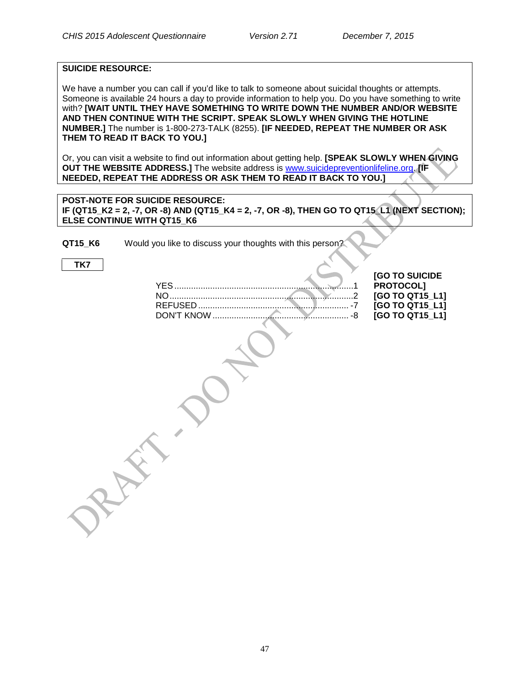#### **SUICIDE RESOURCE:**

We have a number you can call if you'd like to talk to someone about suicidal thoughts or attempts. Someone is available 24 hours a day to provide information to help you. Do you have something to write with? **[WAIT UNTIL THEY HAVE SOMETHING TO WRITE DOWN THE NUMBER AND/OR WEBSITE AND THEN CONTINUE WITH THE SCRIPT. SPEAK SLOWLY WHEN GIVING THE HOTLINE NUMBER.]** The number is 1-800-273-TALK (8255). **[IF NEEDED, REPEAT THE NUMBER OR ASK THEM TO READ IT BACK TO YOU.]**

Or, you can visit a website to find out information about getting help. **[SPEAK SLOWLY WHEN GIVING OUT THE WEBSITE ADDRESS.]** The website address is [www.suicidepreventionlifeline.org.](http://www.suicidepreventionlifeline.org/) **[IF NEEDED, REPEAT THE ADDRESS OR ASK THEM TO READ IT BACK TO YOU.]**

**POST-NOTE FOR SUICIDE RESOURCE: IF (QT15 K2 = 2, -7, OR -8) AND (QT15 K4 = 2, -7, OR -8), THEN GO TO QT15 L1 (NEXT SECTION); ELSE CONTINUE WITH QT15\_K6**

**QT15 K6** Would you like to discuss your thoughts with this person?

**TK7**

YES...........................................................................1 **PROTOCOL]** NO.............................................................................2 **[GO TO QT15\_L1]** REFUSED ............................................................... -7 **[GO TO QT15\_L1]** DON'T KNOW ......................................................... -8 **[GO TO QT15\_L1]**

**[GO TO SUICIDE**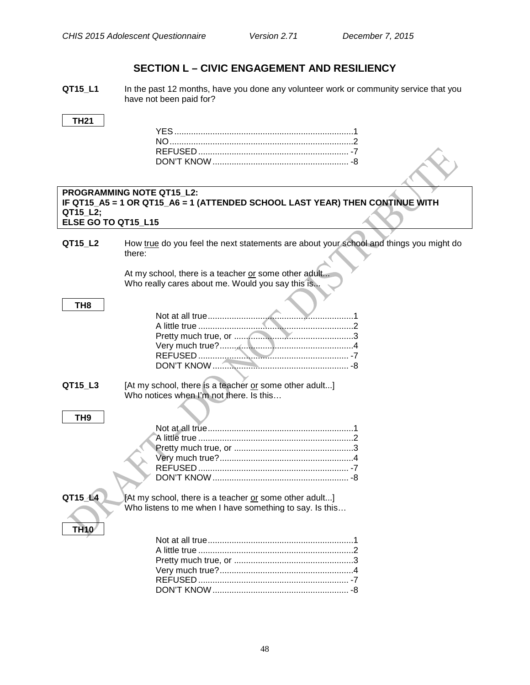# **SECTION L – CIVIC ENGAGEMENT AND RESILIENCY**

<span id="page-50-0"></span>**QT15\_L1** In the past 12 months, have you done any volunteer work or community service that you have not been paid for?

#### **TH21**

|                     | <b>PROGRAMMING NOTE QT15 L2:</b>                                                       |
|---------------------|----------------------------------------------------------------------------------------|
|                     | IF QT15_A5 = 1 OR QT15_A6 = 1 (ATTENDED SCHOOL LAST YEAR) THEN CONTINUE WITH           |
| QT15_L2;            |                                                                                        |
| ELSE GO TO QT15_L15 |                                                                                        |
|                     |                                                                                        |
| QT15_L2             | How true do you feel the next statements are about your school and things you might do |
|                     | there:                                                                                 |
|                     |                                                                                        |
|                     | At my school, there is a teacher or some other adult                                   |
|                     | Who really cares about me. Would you say this is                                       |
| TH <sub>8</sub>     |                                                                                        |
|                     |                                                                                        |
|                     |                                                                                        |
|                     |                                                                                        |
|                     |                                                                                        |
|                     |                                                                                        |
|                     |                                                                                        |
|                     |                                                                                        |
| QT15_L3             | [At my school, there is a teacher or some other adult]                                 |
|                     | Who notices when I'm not there. Is this                                                |
|                     |                                                                                        |
| TH <sub>9</sub>     |                                                                                        |
|                     |                                                                                        |
|                     |                                                                                        |
|                     |                                                                                        |
|                     |                                                                                        |
|                     |                                                                                        |
|                     |                                                                                        |
| QT15 14             | [At my school, there is a teacher or some other adult]                                 |
|                     | Who listens to me when I have something to say. Is this                                |
|                     |                                                                                        |
| <b>TH10</b>         |                                                                                        |
|                     |                                                                                        |
|                     |                                                                                        |
|                     |                                                                                        |
|                     |                                                                                        |
|                     |                                                                                        |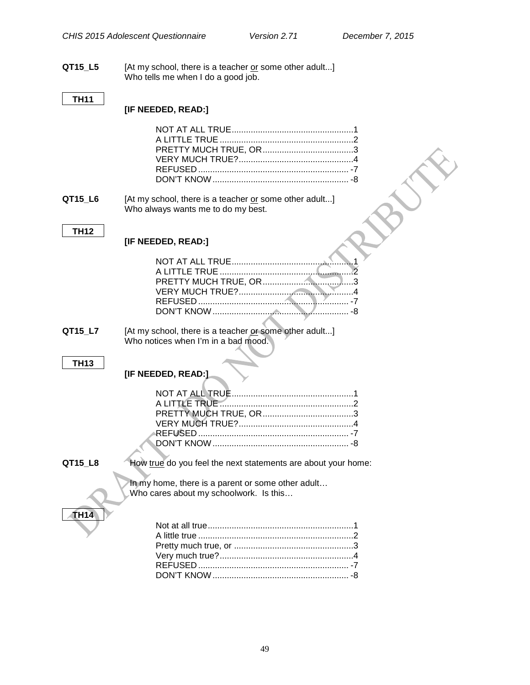**QT15\_L5** [At my school, there is a teacher <u>or</u> some other adult...] Who tells me when I do a good job.

### **TH11**

### **[IF NEEDED, READ:]**

| QT15_L6     | [At my school, there is a teacher or some other adult]<br>Who always wants me to do my best.  |
|-------------|-----------------------------------------------------------------------------------------------|
|             |                                                                                               |
| <b>TH12</b> | [IF NEEDED, READ:]                                                                            |
|             |                                                                                               |
| QT15_L7     | [At my school, there is a teacher or some other adult]<br>Who notices when I'm in a bad mood. |
|             |                                                                                               |
| <b>TH13</b> |                                                                                               |
|             | [IF NEEDED, READ:]                                                                            |
|             |                                                                                               |
| QT15_L8     | How true do you feel the next statements are about your home:                                 |
|             | In my home, there is a parent or some other adult<br>Who cares about my schoolwork. Is this   |
| <b>TH14</b> |                                                                                               |
|             |                                                                                               |
|             |                                                                                               |
|             |                                                                                               |
|             |                                                                                               |
|             |                                                                                               |
|             |                                                                                               |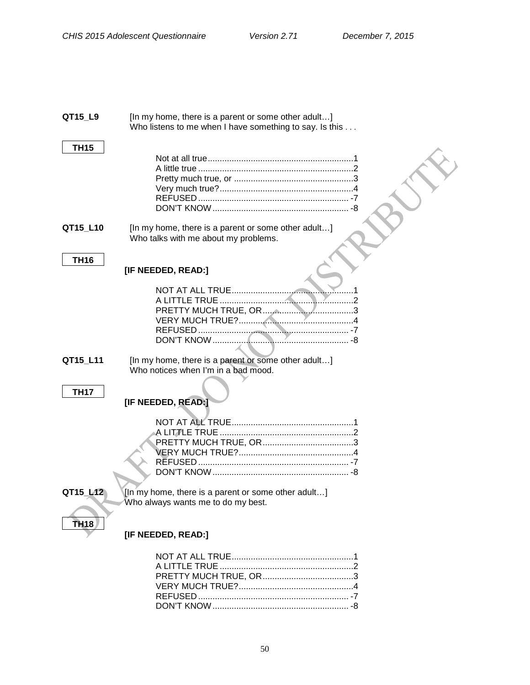| QT15_L9          | [In my home, there is a parent or some other adult]<br>Who listens to me when I have something to say. Is this |
|------------------|----------------------------------------------------------------------------------------------------------------|
| <b>TH15</b>      |                                                                                                                |
| QT15_L10         | [In my home, there is a parent or some other adult]<br>Who talks with me about my problems.                    |
| <b>TH16</b>      | [IF NEEDED, READ:]                                                                                             |
|                  |                                                                                                                |
| QT15_L11         | [In my home, there is a parent or some other adult]<br>Who notices when I'm in a bad mood.                     |
| <b>TH17</b>      | [IF NEEDED, READ:]                                                                                             |
| QT15 L12         | [In my home, there is a parent or some other adult]<br>Who always wants me to do my best.                      |
| TH <sub>18</sub> | [IF NEEDED, READ:]                                                                                             |
|                  |                                                                                                                |

DON'T KNOW......................................................... -8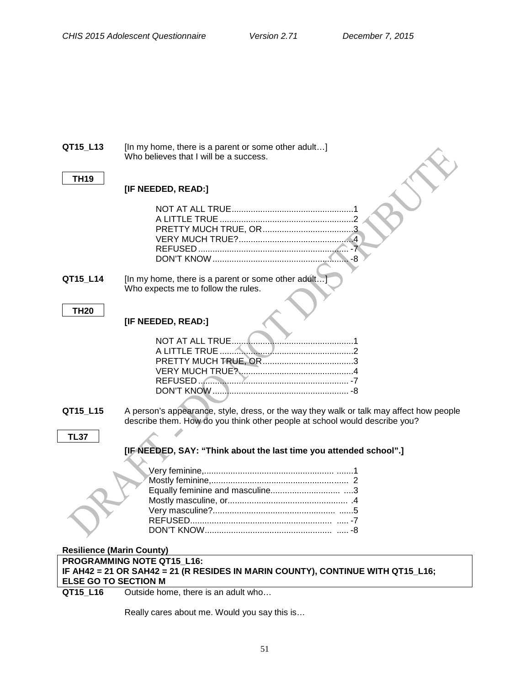| QT15_L13                         | [In my home, there is a parent or some other adult]<br>Who believes that I will be a success.                                                                         |  |  |  |
|----------------------------------|-----------------------------------------------------------------------------------------------------------------------------------------------------------------------|--|--|--|
| <b>TH19</b>                      | [IF NEEDED, READ:]                                                                                                                                                    |  |  |  |
|                                  |                                                                                                                                                                       |  |  |  |
| QT15_L14                         | [In my home, there is a parent or some other adult]<br>Who expects me to follow the rules.                                                                            |  |  |  |
| <b>TH20</b>                      | [IF NEEDED, READ:]                                                                                                                                                    |  |  |  |
|                                  | NOT AT ALL TRUE.                                                                                                                                                      |  |  |  |
| QT15_L15                         | A person's appearance, style, dress, or the way they walk or talk may affect how people<br>describe them. How do you think other people at school would describe you? |  |  |  |
| <b>TL37</b>                      |                                                                                                                                                                       |  |  |  |
|                                  | [IF NEEDED, SAY: "Think about the last time you attended school".]                                                                                                    |  |  |  |
|                                  |                                                                                                                                                                       |  |  |  |
|                                  |                                                                                                                                                                       |  |  |  |
|                                  |                                                                                                                                                                       |  |  |  |
|                                  |                                                                                                                                                                       |  |  |  |
|                                  |                                                                                                                                                                       |  |  |  |
|                                  | RFFUSFD<br>$-7$                                                                                                                                                       |  |  |  |
|                                  |                                                                                                                                                                       |  |  |  |
| <b>Resilience (Marin County)</b> |                                                                                                                                                                       |  |  |  |
|                                  | PROGRAMMING NOTE QT15 L16:                                                                                                                                            |  |  |  |
|                                  | IF AH42 = 21 OR SAH42 = 21 (R RESIDES IN MARIN COUNTY), CONTINUE WITH QT15_L16;                                                                                       |  |  |  |
| <b>ELSE GO TO SECTION M</b>      |                                                                                                                                                                       |  |  |  |
| QT15 L16                         | Outside home, there is an adult who                                                                                                                                   |  |  |  |

Really cares about me. Would you say this is…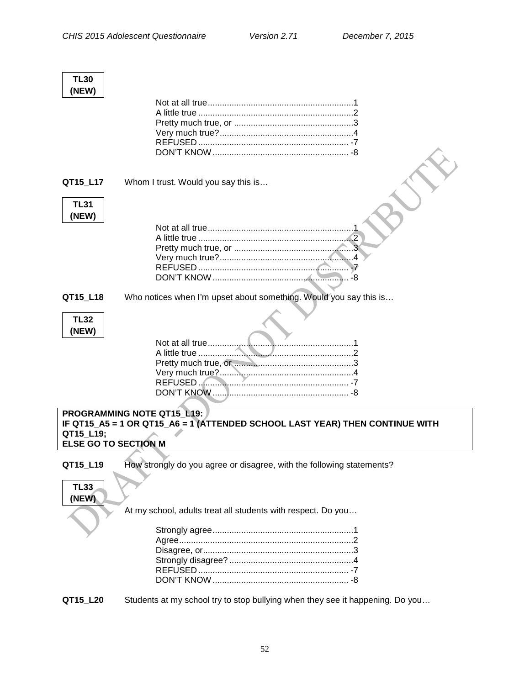| <b>TL30</b><br>(NEW) |                                                                              |
|----------------------|------------------------------------------------------------------------------|
|                      |                                                                              |
|                      |                                                                              |
|                      |                                                                              |
|                      |                                                                              |
|                      |                                                                              |
|                      |                                                                              |
|                      |                                                                              |
| QT15 L17             | Whom I trust. Would you say this is                                          |
| <b>TL31</b><br>(NEW) |                                                                              |
|                      |                                                                              |
|                      |                                                                              |
|                      |                                                                              |
|                      |                                                                              |
|                      |                                                                              |
|                      |                                                                              |
| QT15_L18             | Who notices when I'm upset about something. Would you say this is            |
|                      |                                                                              |
| <b>TL32</b>          |                                                                              |
| (NEW)                |                                                                              |
|                      | Not at all true                                                              |
|                      |                                                                              |
|                      |                                                                              |
|                      |                                                                              |
|                      |                                                                              |
|                      |                                                                              |
|                      |                                                                              |
|                      | <b>PROGRAMMING NOTE QT15 L19:</b>                                            |
|                      | IF QT15_A5 = 1 OR QT15_A6 = 1 (ATTENDED SCHOOL LAST YEAR) THEN CONTINUE WITH |
| QT15_L19;            | <b>ELSE GO TO SECTION M</b>                                                  |
|                      |                                                                              |
| QT15_L19             | How strongly do you agree or disagree, with the following statements?        |
| <b>TL33</b><br>(NEW) |                                                                              |
|                      | At my school, adults treat all students with respect. Do you                 |
|                      |                                                                              |
|                      |                                                                              |
|                      |                                                                              |
|                      |                                                                              |
|                      |                                                                              |
|                      |                                                                              |

**QT15\_L20** Students at my school try to stop bullying when they see it happening. Do you…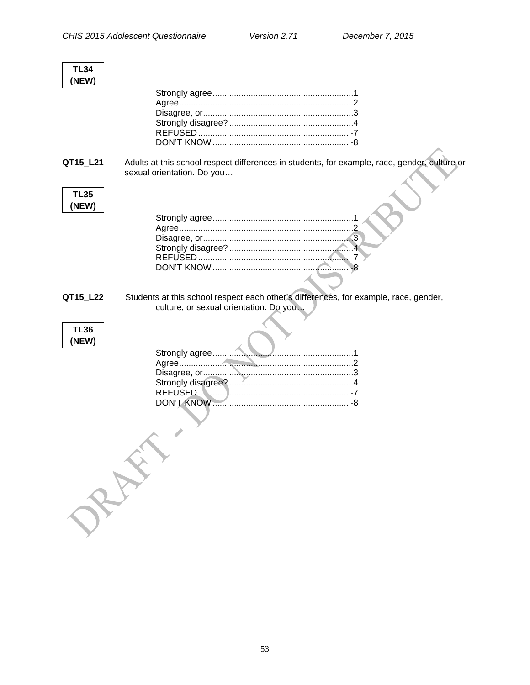$\blacktriangledown$ 

| <b>TL34</b><br>(NEW) |                                                                                                                                |
|----------------------|--------------------------------------------------------------------------------------------------------------------------------|
|                      |                                                                                                                                |
| QT15_L21             | Adults at this school respect differences in students, for example, race, gender, culture or<br>sexual orientation. Do you     |
| <b>TL35</b><br>(NEW) |                                                                                                                                |
| QT15_L22             | Students at this school respect each other's differences, for example, race, gender,<br>culture, or sexual orientation. Do you |
| <b>TL36</b><br>(NEW) | RAW                                                                                                                            |